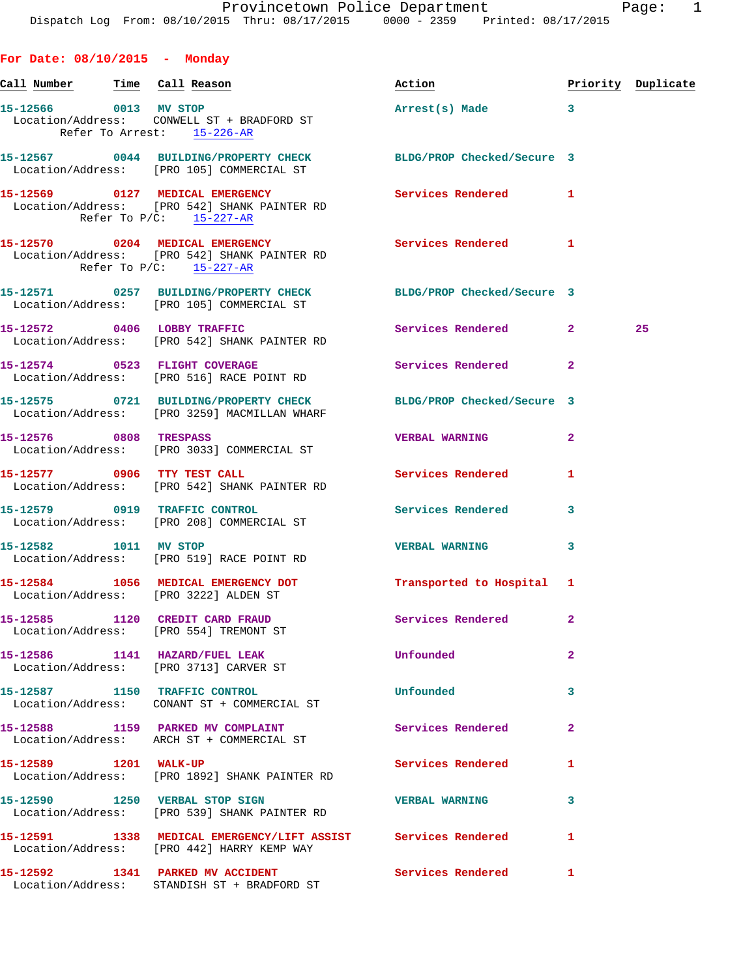**For Date: 08/10/2015 - Monday Call Number Time Call Reason Action Priority Duplicate 15-12566 0013 MV STOP Arrest(s) Made 3**  Location/Address: CONWELL ST + BRADFORD ST Refer To Arrest: 15-226-AR **15-12567 0044 BUILDING/PROPERTY CHECK BLDG/PROP Checked/Secure 3**  Location/Address: [PRO 105] COMMERCIAL ST **15-12569 0127 MEDICAL EMERGENCY Services Rendered 1**  Location/Address: [PRO 542] SHANK PAINTER RD Refer To P/C: 15-227-AR **15-12570 0204 MEDICAL EMERGENCY Services Rendered 1**  Location/Address: [PRO 542] SHANK PAINTER RD Refer To P/C: 15-227-AR **15-12571 0257 BUILDING/PROPERTY CHECK BLDG/PROP Checked/Secure 3**  Location/Address: [PRO 105] COMMERCIAL ST **15-12572 0406 LOBBY TRAFFIC Services Rendered 2 25**  Location/Address: [PRO 542] SHANK PAINTER RD 15-12574 0523 FLIGHT COVERAGE **Services Rendered** 2 Location/Address: [PRO 516] RACE POINT RD **15-12575 0721 BUILDING/PROPERTY CHECK BLDG/PROP Checked/Secure 3**  Location/Address: [PRO 3259] MACMILLAN WHARF **15-12576 0808 TRESPASS VERBAL WARNING 2**  Location/Address: [PRO 3033] COMMERCIAL ST **15-12577 0906 TTY TEST CALL Services Rendered 1**  Location/Address: [PRO 542] SHANK PAINTER RD **15-12579 0919 TRAFFIC CONTROL Services Rendered 3**  Location/Address: [PRO 208] COMMERCIAL ST **15-12582 1011 MV STOP VERBAL WARNING 3**  Location/Address: [PRO 519] RACE POINT RD

**15-12584 1056 MEDICAL EMERGENCY DOT Transported to Hospital 1**  Location/Address: [PRO 3222] ALDEN ST

**15-12585 1120 CREDIT CARD FRAUD Services Rendered 2**  Location/Address: [PRO 554] TREMONT ST

**15-12586 1141 HAZARD/FUEL LEAK Unfounded 2**  Location/Address: [PRO 3713] CARVER ST

**15-12587 1150 TRAFFIC CONTROL Unfounded 3**  Location/Address: CONANT ST + COMMERCIAL ST

15-12588 1159 PARKED MV COMPLAINT **15-12588** Services Rendered 2 Location/Address: ARCH ST + COMMERCIAL ST

15-12589 1201 WALK-UP **1201 Services Rendered** 1 Location/Address: [PRO 1892] SHANK PAINTER RD

**15-12590 1250 VERBAL STOP SIGN VERBAL WARNING 3**  Location/Address: [PRO 539] SHANK PAINTER RD

**15-12591 1338 MEDICAL EMERGENCY/LIFT ASSIST Services Rendered 1**  Location/Address: [PRO 442] HARRY KEMP WAY

Location/Address: STANDISH ST + BRADFORD ST

**15-12592 1341 PARKED MV ACCIDENT Services Rendered 1**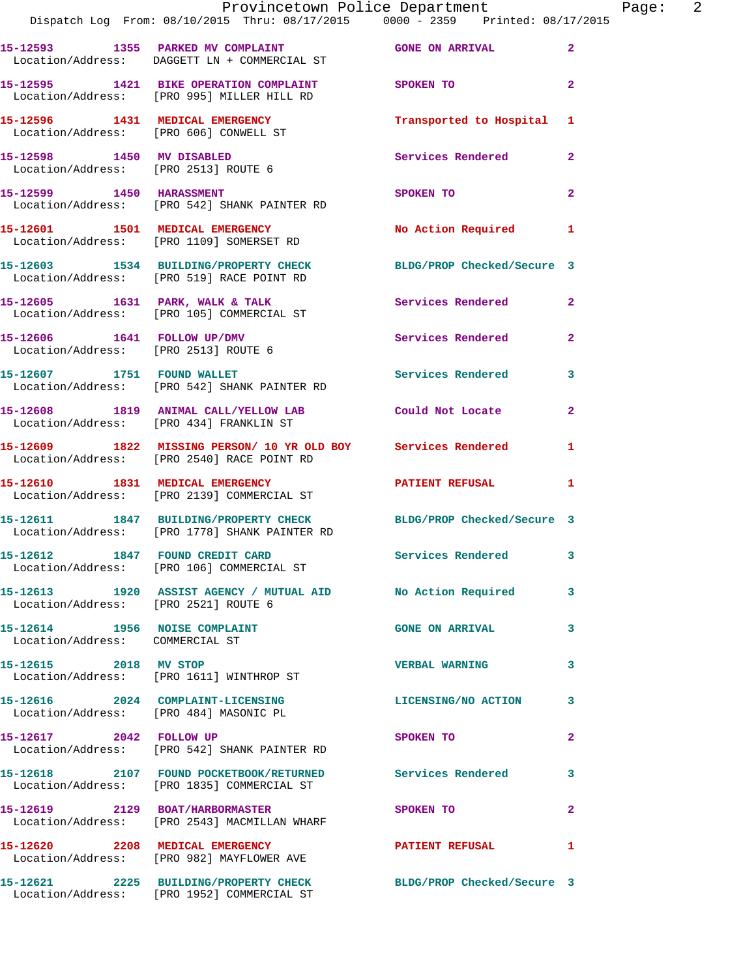|                                                                  | Provincetown Police Department Page: 2<br>Dispatch Log From: 08/10/2015 Thru: 08/17/2015   0000 - 2359   Printed: 08/17/2015 |                           |                |  |
|------------------------------------------------------------------|------------------------------------------------------------------------------------------------------------------------------|---------------------------|----------------|--|
|                                                                  |                                                                                                                              |                           |                |  |
|                                                                  | 15-12593 1355 PARKED MV COMPLAINT 60NE GONE ON ARRIVAL 2<br>Location/Address: DAGGETT LN + COMMERCIAL ST                     |                           |                |  |
|                                                                  | 15-12595 1421 BIKE OPERATION COMPLAINT SPOKEN TO<br>Location/Address: [PRO 995] MILLER HILL RD                               |                           | $\overline{2}$ |  |
|                                                                  | 15-12596 1431 MEDICAL EMERGENCY<br>Location/Address: [PRO 606] CONWELL ST                                                    | Transported to Hospital 1 |                |  |
| Location/Address: [PRO 2513] ROUTE 6                             | 15-12598 1450 MV DISABLED                                                                                                    | Services Rendered         | $\mathbf{2}$   |  |
|                                                                  | 15-12599 1450 HARASSMENT<br>Location/Address: [PRO 542] SHANK PAINTER RD                                                     | SPOKEN TO                 | $\mathbf{2}$   |  |
|                                                                  | 15-12601 1501 MEDICAL EMERGENCY<br>Location/Address: [PRO 1109] SOMERSET RD                                                  | No Action Required 1      |                |  |
|                                                                  | 15-12603 1534 BUILDING/PROPERTY CHECK BLDG/PROP Checked/Secure 3<br>Location/Address: [PRO 519] RACE POINT RD                |                           |                |  |
|                                                                  | 15-12605 1631 PARK, WALK & TALK Services Rendered<br>Location/Address: [PRO 105] COMMERCIAL ST                               |                           | $\mathbf{2}$   |  |
|                                                                  | 15-12606   1641   FOLLOW UP/DMV<br>Location/Address: [PRO 2513] ROUTE 6                                                      | Services Rendered         | $\overline{2}$ |  |
|                                                                  | 15-12607 1751 FOUND WALLET<br>Location/Address: [PRO 542] SHANK PAINTER RD                                                   | Services Rendered         | 3              |  |
|                                                                  | 15-12608 1819 ANIMAL CALL/YELLOW LAB Could Not Locate<br>Location/Address: [PRO 434] FRANKLIN ST                             |                           | $\mathbf{2}$   |  |
|                                                                  | 15-12609 1822 MISSING PERSON/ 10 YR OLD BOY Services Rendered<br>Location/Address: [PRO 2540] RACE POINT RD                  |                           | 1              |  |
|                                                                  | 15-12610 1831 MEDICAL EMERGENCY PATIENT REFUSAL<br>Location/Address: [PRO 2139] COMMERCIAL ST                                |                           | 1              |  |
|                                                                  | 15-12611 1847 BUILDING/PROPERTY CHECK BLDG/PROP Checked/Secure 3<br>Location/Address: [PRO 1778] SHANK PAINTER RD            |                           |                |  |
|                                                                  | 15-12612 1847 FOUND CREDIT CARD<br>Location/Address: [PRO 106] COMMERCIAL ST                                                 | Services Rendered 3       |                |  |
| Location/Address: [PRO 2521] ROUTE 6                             | 15-12613 1920 ASSIST AGENCY / MUTUAL AID No Action Required                                                                  |                           | 3              |  |
| 15-12614 1956 NOISE COMPLAINT<br>Location/Address: COMMERCIAL ST |                                                                                                                              | <b>GONE ON ARRIVAL</b>    | 3              |  |
|                                                                  | 15-12615 2018 MV STOP<br>Location/Address: [PRO 1611] WINTHROP ST                                                            | <b>VERBAL WARNING</b>     | 3              |  |
|                                                                  | 15-12616 2024 COMPLAINT-LICENSING<br>Location/Address: [PRO 484] MASONIC PL                                                  | LICENSING/NO ACTION 3     |                |  |
|                                                                  | 15-12617 2042 FOLLOW UP<br>Location/Address: [PRO 542] SHANK PAINTER RD                                                      | SPOKEN TO                 | $\mathbf{2}$   |  |
|                                                                  | 15-12618 2107 FOUND POCKETBOOK/RETURNED Services Rendered<br>Location/Address: [PRO 1835] COMMERCIAL ST                      |                           | 3              |  |
|                                                                  | 15-12619 2129 BOAT/HARBORMASTER<br>Location/Address: [PRO 2543] MACMILLAN WHARF                                              | SPOKEN TO                 | $\mathbf{2}$   |  |
|                                                                  | 15-12620 2208 MEDICAL EMERGENCY PATIENT REFUSAL<br>Location/Address: [PRO 982] MAYFLOWER AVE                                 |                           | 1              |  |
|                                                                  | 15-12621 2225 BUILDING/PROPERTY CHECK BLDG/PROP Checked/Secure 3<br>Location/Address: [PRO 1952] COMMERCIAL ST               |                           |                |  |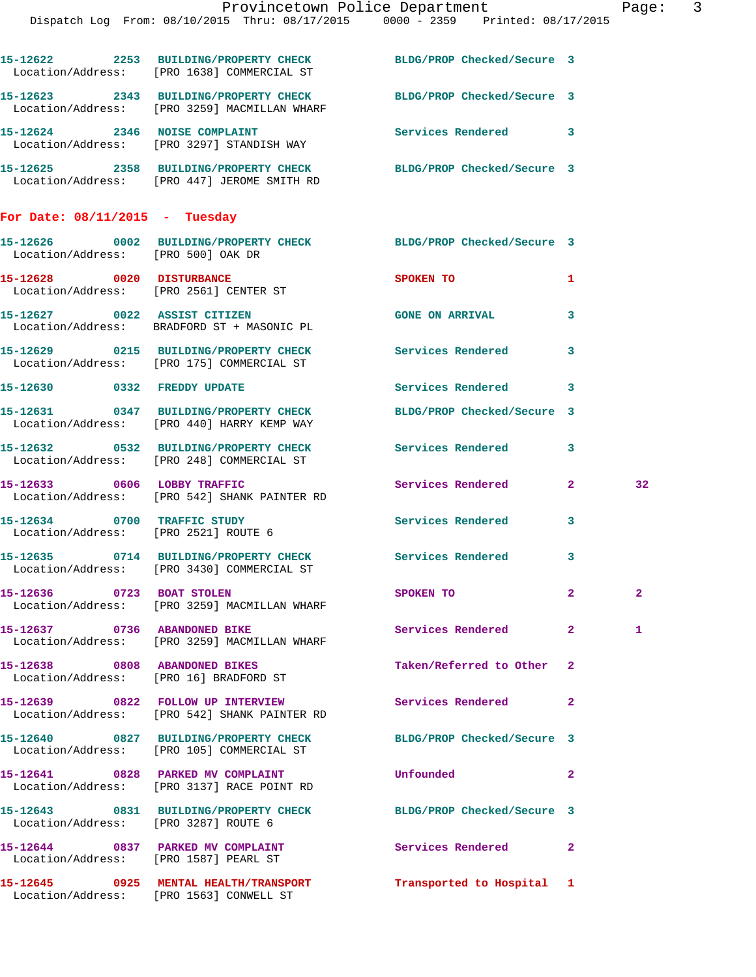|                                       |                                                                                     | Provincetown Police Department<br>Dispatch Log From: 08/10/2015 Thru: 08/17/2015 0000 - 2359 Printed: 08/17/2015 |              | Page: 3        |  |
|---------------------------------------|-------------------------------------------------------------------------------------|------------------------------------------------------------------------------------------------------------------|--------------|----------------|--|
|                                       | Location/Address: [PRO 1638] COMMERCIAL ST                                          | 15-12622 2253 BUILDING/PROPERTY CHECK BLDG/PROP Checked/Secure 3                                                 |              |                |  |
|                                       | Location/Address: [PRO 3259] MACMILLAN WHARF                                        | 15-12623 2343 BUILDING/PROPERTY CHECK BLDG/PROP Checked/Secure 3                                                 |              |                |  |
|                                       | 15-12624 2346 NOISE COMPLAINT<br>Location/Address: [PRO 3297] STANDISH WAY          | Services Rendered 3                                                                                              |              |                |  |
|                                       | Location/Address: [PRO 447] JEROME SMITH RD                                         | 15-12625 2358 BUILDING/PROPERTY CHECK BLDG/PROP Checked/Secure 3                                                 |              |                |  |
| For Date: $08/11/2015$ - Tuesday      |                                                                                     |                                                                                                                  |              |                |  |
| Location/Address: [PRO 500] OAK DR    |                                                                                     | 15-12626 0002 BUILDING/PROPERTY CHECK BLDG/PROP Checked/Secure 3                                                 |              |                |  |
|                                       | 15-12628 0020 DISTURBANCE<br>Location/Address: [PRO 2561] CENTER ST                 | SPOKEN TO AND TO A STRUCK TO A THING OF THE STRUCK OF THE STRUCK OF THE STRUCK.                                  | 1            |                |  |
|                                       | 15-12627 0022 ASSIST CITIZEN<br>Location/Address: BRADFORD ST + MASONIC PL          | <b>GONE ON ARRIVAL</b>                                                                                           | $\mathbf{3}$ |                |  |
|                                       | Location/Address: [PRO 175] COMMERCIAL ST                                           | 15-12629 0215 BUILDING/PROPERTY CHECK Services Rendered                                                          | $\mathbf{3}$ |                |  |
|                                       | 15-12630 0332 FREDDY UPDATE                                                         | Services Rendered 3                                                                                              |              |                |  |
|                                       | 15-12631 0347 BUILDING/PROPERTY CHECK<br>Location/Address: [PRO 440] HARRY KEMP WAY | BLDG/PROP Checked/Secure 3                                                                                       |              |                |  |
|                                       | Location/Address: [PRO 248] COMMERCIAL ST                                           | 15-12632 0532 BUILDING/PROPERTY CHECK Services Rendered 3                                                        |              |                |  |
|                                       | 15-12633 0606 LOBBY TRAFFIC<br>Location/Address: [PRO 542] SHANK PAINTER RD         | Services Rendered 2                                                                                              |              | 32             |  |
| Location/Address: [PRO 2521] ROUTE 6  | 15-12634 0700 TRAFFIC STUDY                                                         | Services Rendered 3                                                                                              |              |                |  |
|                                       | 15-12635 0714 BUILDING/PROPERTY CHECK<br>Location/Address: [PRO 3430] COMMERCIAL ST | Services Rendered                                                                                                | 3            |                |  |
| 15-12636 0723 BOAT STOLEN             | Location/Address: [PRO 3259] MACMILLAN WHARF                                        | SPOKEN TO                                                                                                        | $\mathbf{2}$ | $\overline{a}$ |  |
|                                       | 15-12637 0736 ABANDONED BIKE<br>Location/Address: [PRO 3259] MACMILLAN WHARF        | Services Rendered 2                                                                                              |              | 1              |  |
|                                       | 15-12638 0808 ABANDONED BIKES<br>Location/Address: [PRO 16] BRADFORD ST             | Taken/Referred to Other 2                                                                                        |              |                |  |
|                                       | 15-12639 0822 FOLLOW UP INTERVIEW<br>Location/Address: [PRO 542] SHANK PAINTER RD   | Services Rendered                                                                                                | $\mathbf{2}$ |                |  |
|                                       | 15-12640 0827 BUILDING/PROPERTY CHECK<br>Location/Address: [PRO 105] COMMERCIAL ST  | BLDG/PROP Checked/Secure 3                                                                                       |              |                |  |
|                                       | 15-12641 0828 PARKED MV COMPLAINT<br>Location/Address: [PRO 3137] RACE POINT RD     | Unfounded                                                                                                        | $\mathbf{2}$ |                |  |
| Location/Address: [PRO 3287] ROUTE 6  |                                                                                     | 15-12643 0831 BUILDING/PROPERTY CHECK BLDG/PROP Checked/Secure 3                                                 |              |                |  |
| Location/Address: [PRO 1587] PEARL ST | 15-12644 0837 PARKED MV COMPLAINT                                                   | Services Rendered                                                                                                | $\mathbf{2}$ |                |  |
|                                       | 15-12645 0925 MENTAL HEALTH/TRANSPORT                                               | Transported to Hospital 1                                                                                        |              |                |  |

Location/Address: [PRO 1563] CONWELL ST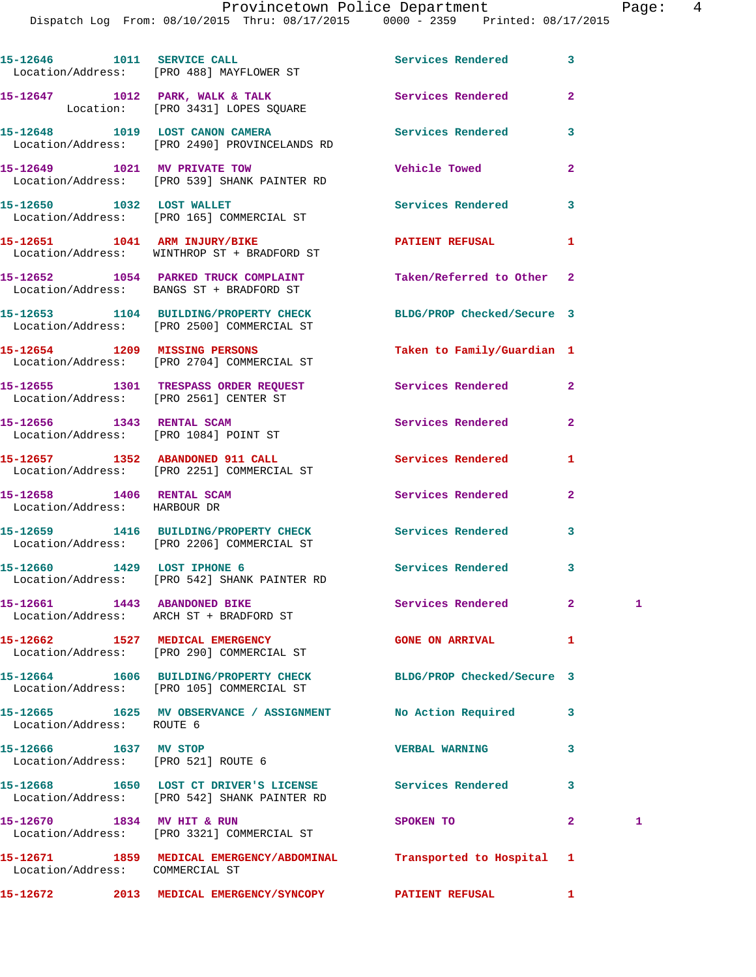Dispatch Log From: 08/10/2015 Thru: 08/17/2015 0000 - 2359 Printed: 08/17/2015

|                                                                    | 15-12646 1011 SERVICE CALL SERVICE ON Services Rendered<br>Location/Address: [PRO 488] MAYFLOWER ST            |                            | 3              |   |
|--------------------------------------------------------------------|----------------------------------------------------------------------------------------------------------------|----------------------------|----------------|---|
|                                                                    | 15-12647 1012 PARK, WALK & TALK<br>Location: [PRO 3431] LOPES SQUARE                                           | <b>Services Rendered</b>   | $\mathbf{2}$   |   |
|                                                                    | 15-12648 1019 LOST CANON CAMERA Services Rendered<br>Location/Address: [PRO 2490] PROVINCELANDS RD             |                            | 3              |   |
|                                                                    | 15-12649 1021 MV PRIVATE TOW<br>Location/Address: [PRO 539] SHANK PAINTER RD                                   | <b>Vehicle Towed</b>       | $\mathbf{2}$   |   |
|                                                                    | 15-12650 1032 LOST WALLET<br>Location/Address: [PRO 165] COMMERCIAL ST                                         | <b>Services Rendered</b>   | 3              |   |
|                                                                    | 15-12651 1041 ARM INJURY/BIKE<br>Location/Address: WINTHROP ST + BRADFORD ST                                   | PATIENT REFUSAL 1          |                |   |
|                                                                    | 15-12652 1054 PARKED TRUCK COMPLAINT Taken/Referred to Other<br>Location/Address: BANGS ST + BRADFORD ST       |                            | $\overline{2}$ |   |
|                                                                    | 15-12653 1104 BUILDING/PROPERTY CHECK BLDG/PROP Checked/Secure 3<br>Location/Address: [PRO 2500] COMMERCIAL ST |                            |                |   |
|                                                                    | 15-12654 1209 MISSING PERSONS<br>Location/Address: [PRO 2704] COMMERCIAL ST                                    | Taken to Family/Guardian 1 |                |   |
|                                                                    | 15-12655 1301 TRESPASS ORDER REQUEST Services Rendered<br>Location/Address: [PRO 2561] CENTER ST               |                            | $\overline{a}$ |   |
| 15-12656 1343 RENTAL SCAM<br>Location/Address: [PRO 1084] POINT ST |                                                                                                                | Services Rendered          | $\mathbf{2}$   |   |
|                                                                    | 15-12657 1352 ABANDONED 911 CALL<br>Location/Address: [PRO 2251] COMMERCIAL ST                                 | Services Rendered          | 1              |   |
| 15-12658 1406 RENTAL SCAM<br>Location/Address: HARBOUR DR          |                                                                                                                | Services Rendered          | $\mathbf{2}$   |   |
|                                                                    | 15-12659 1416 BUILDING/PROPERTY CHECK Services Rendered<br>Location/Address: [PRO 2206] COMMERCIAL ST          |                            | 3              |   |
|                                                                    | 15-12660 1429 LOST IPHONE 6<br>Location/Address: [PRO 542] SHANK PAINTER RD                                    | Services Rendered 3        |                |   |
|                                                                    | 15-12661 1443 ABANDONED BIKE Services Rendered 2 1<br>Location/Address: ARCH ST + BRADFORD ST                  |                            |                |   |
|                                                                    | 15-12662 1527 MEDICAL EMERGENCY<br>Location/Address: [PRO 290] COMMERCIAL ST                                   | <b>GONE ON ARRIVAL</b>     | 1              |   |
|                                                                    | 15-12664 1606 BUILDING/PROPERTY CHECK BLDG/PROP Checked/Secure 3<br>Location/Address: [PRO 105] COMMERCIAL ST  |                            |                |   |
| Location/Address: ROUTE 6                                          | 15-12665 1625 MV OBSERVANCE / ASSIGNMENT No Action Required                                                    |                            | 3              |   |
| 15-12666 1637 MV STOP<br>Location/Address: [PRO 521] ROUTE 6       |                                                                                                                | <b>VERBAL WARNING</b>      | 3              |   |
|                                                                    | 15-12668 1650 LOST CT DRIVER'S LICENSE Services Rendered<br>Location/Address: [PRO 542] SHANK PAINTER RD       |                            | 3              |   |
| 15-12670 1834 MV HIT & RUN                                         | Location/Address: [PRO 3321] COMMERCIAL ST                                                                     | SPOKEN TO                  | $\mathbf{2}$   | 1 |
| Location/Address: COMMERCIAL ST                                    | 15-12671 1859 MEDICAL EMERGENCY/ABDOMINAL Transported to Hospital                                              |                            | 1              |   |
|                                                                    | 15-12672  2013 MEDICAL EMERGENCY/SYNCOPY PATIENT REFUSAL                                                       |                            | $\mathbf{1}$   |   |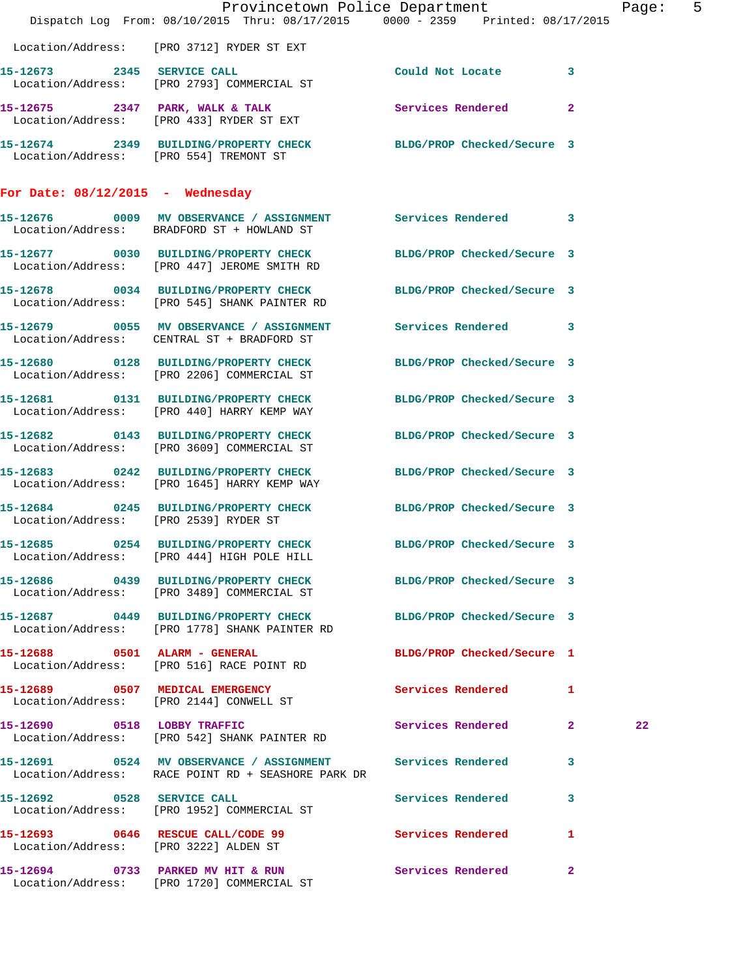|                                       | Provincetown Police Department<br>Dispatch Log From: 08/10/2015 Thru: 08/17/2015 0000 - 2359 Printed: 08/17/2015   |                            |   | Page: 5 |  |
|---------------------------------------|--------------------------------------------------------------------------------------------------------------------|----------------------------|---|---------|--|
|                                       | Location/Address: [PRO 3712] RYDER ST EXT                                                                          |                            |   |         |  |
|                                       | 15-12673 2345 SERVICE CALL<br>Location/Address: [PRO 2793] COMMERCIAL ST                                           | Could Not Locate 3         |   |         |  |
|                                       | 15-12675 2347 PARK, WALK & TALK Services Rendered 2<br>Location/Address: [PRO 433] RYDER ST EXT                    |                            |   |         |  |
|                                       | 15-12674 2349 BUILDING/PROPERTY CHECK BLDG/PROP Checked/Secure 3<br>Location/Address: [PRO 554] TREMONT ST         |                            |   |         |  |
| For Date: $08/12/2015$ - Wednesday    |                                                                                                                    |                            |   |         |  |
|                                       | 15-12676 0009 MV OBSERVANCE / ASSIGNMENT Services Rendered 3<br>Location/Address: BRADFORD ST + HOWLAND ST         |                            |   |         |  |
|                                       | 15-12677 0030 BUILDING/PROPERTY CHECK BLDG/PROP Checked/Secure 3<br>Location/Address: [PRO 447] JEROME SMITH RD    |                            |   |         |  |
|                                       | 15-12678 0034 BUILDING/PROPERTY CHECK BLDG/PROP Checked/Secure 3<br>Location/Address: [PRO 545] SHANK PAINTER RD   |                            |   |         |  |
|                                       | 15-12679 0055 MV OBSERVANCE / ASSIGNMENT Services Rendered 3<br>Location/Address: CENTRAL ST + BRADFORD ST         |                            |   |         |  |
|                                       | 15-12680 0128 BUILDING/PROPERTY CHECK BLDG/PROP Checked/Secure 3<br>Location/Address: [PRO 2206] COMMERCIAL ST     |                            |   |         |  |
|                                       | 15-12681 0131 BUILDING/PROPERTY CHECK<br>Location/Address: [PRO 440] HARRY KEMP WAY                                | BLDG/PROP Checked/Secure 3 |   |         |  |
|                                       | 15-12682 0143 BUILDING/PROPERTY CHECK BLDG/PROP Checked/Secure 3<br>Location/Address: [PRO 3609] COMMERCIAL ST     |                            |   |         |  |
|                                       | 15-12683 0242 BUILDING/PROPERTY CHECK BLDG/PROP Checked/Secure 3<br>Location/Address: [PRO 1645] HARRY KEMP WAY    |                            |   |         |  |
|                                       | 15-12684 0245 BUILDING/PROPERTY CHECK BLDG/PROP Checked/Secure 3<br>Location/Address: [PRO 2539] RYDER ST          |                            |   |         |  |
|                                       | 15-12685 0254 BUILDING/PROPERTY CHECK BLDG/PROP Checked/Secure 3<br>Location/Address: [PRO 444] HIGH POLE HILL     |                            |   |         |  |
|                                       | 15-12686 0439 BUILDING/PROPERTY CHECK BLDG/PROP Checked/Secure 3<br>Location/Address: [PRO 3489] COMMERCIAL ST     |                            |   |         |  |
|                                       | 15-12687 0449 BUILDING/PROPERTY CHECK BLDG/PROP Checked/Secure 3<br>Location/Address: [PRO 1778] SHANK PAINTER RD  |                            |   |         |  |
|                                       | 15-12688 0501 ALARM - GENERAL<br>Location/Address: [PRO 516] RACE POINT RD                                         | BLDG/PROP Checked/Secure 1 |   |         |  |
|                                       | 15-12689 0507 MEDICAL EMERGENCY<br>Location/Address: [PRO 2144] CONWELL ST                                         | Services Rendered 1        |   |         |  |
|                                       | 15-12690 0518 LOBBY TRAFFIC<br>Location/Address: [PRO 542] SHANK PAINTER RD                                        | Services Rendered 2        |   | 22      |  |
|                                       | 15-12691 0524 MV OBSERVANCE / ASSIGNMENT Services Rendered 3<br>Location/Address: RACE POINT RD + SEASHORE PARK DR |                            |   |         |  |
| 15-12692 0528 SERVICE CALL            | Location/Address: [PRO 1952] COMMERCIAL ST                                                                         | Services Rendered 3        |   |         |  |
| Location/Address: [PRO 3222] ALDEN ST | 15-12693 0646 RESCUE CALL/CODE 99                                                                                  | Services Rendered          | 1 |         |  |
|                                       | 15-12694 0733 PARKED MV HIT & RUN Services Rendered 2<br>Location/Address: [PRO 1720] COMMERCIAL ST                |                            |   |         |  |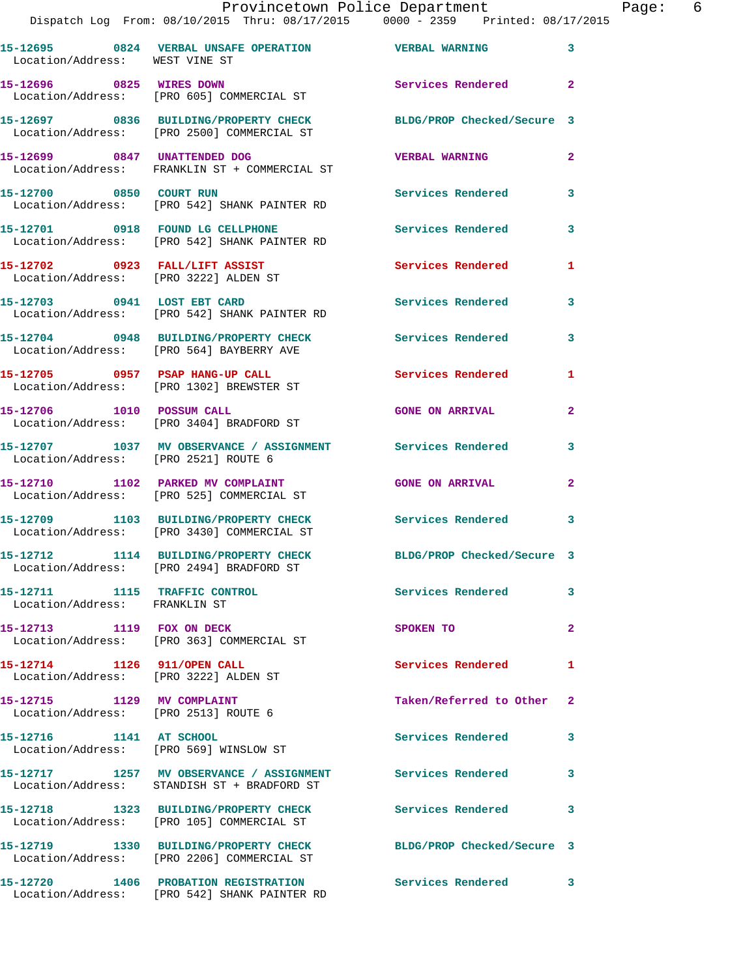## Provincetown Police Department Page: 6

Dispatch Log From: 08/10/2015 Thru: 08/17/2015 0000 - 2359 Printed: 08/17/2015

| Location/Address: WEST VINE ST                                          | 15-12695 0824 VERBAL UNSAFE OPERATION                                                   | <b>VERBAL WARNING</b>      | 3              |
|-------------------------------------------------------------------------|-----------------------------------------------------------------------------------------|----------------------------|----------------|
| 15-12696 0825 WIRES DOWN                                                | Location/Address: [PRO 605] COMMERCIAL ST                                               | Services Rendered          | $\overline{a}$ |
|                                                                         | 15-12697 0836 BUILDING/PROPERTY CHECK<br>Location/Address: [PRO 2500] COMMERCIAL ST     | BLDG/PROP Checked/Secure 3 |                |
| 15-12699 0847 UNATTENDED DOG                                            | Location/Address: FRANKLIN ST + COMMERCIAL ST                                           | <b>VERBAL WARNING</b>      | $\overline{a}$ |
| 15-12700 0850 COURT RUN                                                 | Location/Address: [PRO 542] SHANK PAINTER RD                                            | <b>Services Rendered</b>   | 3              |
| 15-12701 0918 FOUND LG CELLPHONE                                        | Location/Address: [PRO 542] SHANK PAINTER RD                                            | Services Rendered          | 3              |
| 15-12702 0923 FALL/LIFT ASSIST<br>Location/Address: [PRO 3222] ALDEN ST |                                                                                         | <b>Services Rendered</b>   | 1              |
| 15-12703 0941 LOST EBT CARD                                             | Location/Address: [PRO 542] SHANK PAINTER RD                                            | <b>Services Rendered</b>   | 3              |
|                                                                         | 15-12704 0948 BUILDING/PROPERTY CHECK<br>Location/Address: [PRO 564] BAYBERRY AVE       | Services Rendered          | 3              |
| 15-12705 0957 PSAP HANG-UP CALL                                         | Location/Address: [PRO 1302] BREWSTER ST                                                | Services Rendered          | 1              |
| 15-12706 1010 POSSUM CALL                                               | Location/Address: [PRO 3404] BRADFORD ST                                                | <b>GONE ON ARRIVAL</b>     | 2              |
| Location/Address: [PRO 2521] ROUTE 6                                    | 15-12707 1037 MV OBSERVANCE / ASSIGNMENT Services Rendered                              |                            | 3              |
|                                                                         | 15-12710 1102 PARKED MV COMPLAINT<br>Location/Address: [PRO 525] COMMERCIAL ST          | <b>GONE ON ARRIVAL</b>     | 2              |
|                                                                         | 15-12709 1103 BUILDING/PROPERTY CHECK<br>Location/Address: [PRO 3430] COMMERCIAL ST     | <b>Services Rendered</b>   | 3              |
| 15-12712                                                                | 1114 BUILDING/PROPERTY CHECK<br>Location/Address: [PRO 2494] BRADFORD ST                | BLDG/PROP Checked/Secure 3 |                |
| 15-12711<br>Location/Address: FRANKLIN ST                               | 1115 TRAFFIC CONTROL                                                                    | Services Rendered          | 3              |
|                                                                         | 15-12713 1119 FOX ON DECK<br>Location/Address: [PRO 363] COMMERCIAL ST                  | SPOKEN TO                  | 2              |
| 15-12714 1126 911/OPEN CALL<br>Location/Address: [PRO 3222] ALDEN ST    |                                                                                         | <b>Services Rendered</b>   | 1              |
| 15-12715 1129 MV COMPLAINT<br>Location/Address: [PRO 2513] ROUTE 6      |                                                                                         | Taken/Referred to Other    | $\overline{2}$ |
| 15-12716 1141 AT SCHOOL<br>Location/Address: [PRO 569] WINSLOW ST       |                                                                                         | Services Rendered          | 3              |
|                                                                         | 15-12717 1257 MV OBSERVANCE / ASSIGNMENT<br>Location/Address: STANDISH ST + BRADFORD ST | <b>Services Rendered</b>   | 3              |
|                                                                         | 15-12718 1323 BUILDING/PROPERTY CHECK<br>Location/Address: [PRO 105] COMMERCIAL ST      | <b>Services Rendered</b>   | 3              |
|                                                                         | 15-12719 1330 BUILDING/PROPERTY CHECK<br>Location/Address: [PRO 2206] COMMERCIAL ST     | BLDG/PROP Checked/Secure 3 |                |
|                                                                         | 15-12720 1406 PROBATION REGISTRATION<br>Location/Address: [PRO 542] SHANK PAINTER RD    | Services Rendered          | 3              |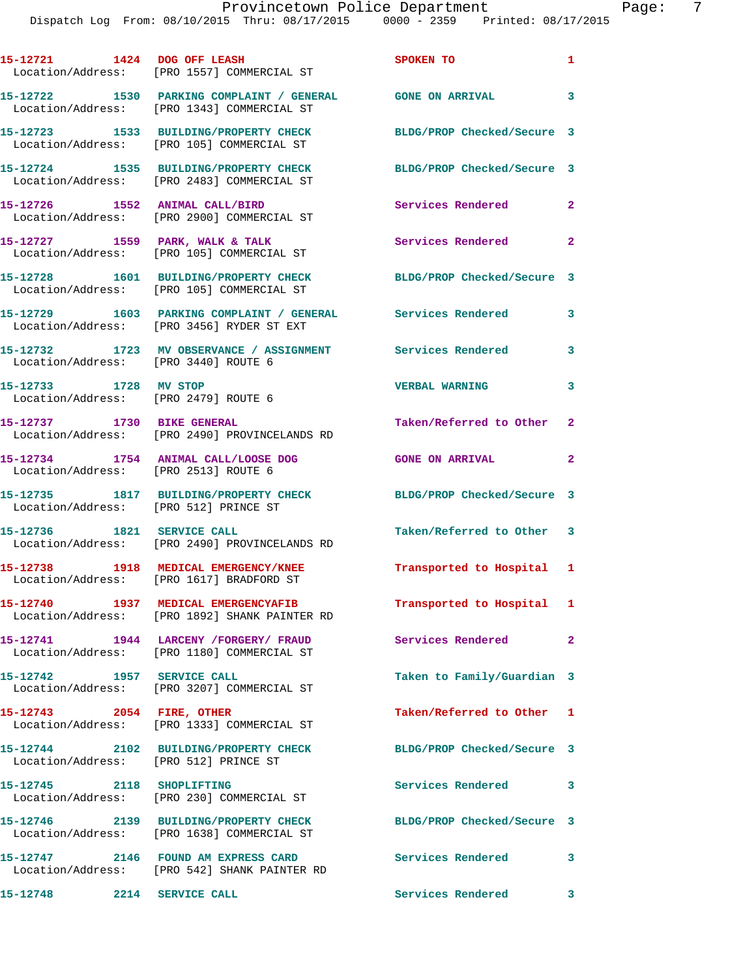|                                       | Provincetown Police Department<br>Dispatch Log From: 08/10/2015 Thru: 08/17/2015 0000 - 2359 Printed: 08/17/2015 |                           | 7<br>Page:   |
|---------------------------------------|------------------------------------------------------------------------------------------------------------------|---------------------------|--------------|
|                                       | 15-12721 1424 DOG OFF LEASH SPOKEN TO<br>Location/Address: [PRO 1557] COMMERCIAL ST                              |                           |              |
|                                       | 15-12722 1530 PARKING COMPLAINT / GENERAL GONE ON ARRIVAL 3<br>Location/Address: [PRO 1343] COMMERCIAL ST        |                           |              |
|                                       | 15-12723 1533 BUILDING/PROPERTY CHECK BLDG/PROP Checked/Secure 3<br>Location/Address: [PRO 105] COMMERCIAL ST    |                           |              |
|                                       | 15-12724 1535 BUILDING/PROPERTY CHECK BLDG/PROP Checked/Secure 3<br>Location/Address: [PRO 2483] COMMERCIAL ST   |                           |              |
|                                       | 15-12726 1552 ANIMAL CALL/BIRD Services Rendered 2<br>Location/Address: [PRO 2900] COMMERCIAL ST                 |                           |              |
|                                       | 15-12727 1559 PARK, WALK & TALK 1999 Services Rendered 2<br>Location/Address: [PRO 105] COMMERCIAL ST            |                           |              |
|                                       | 15-12728 1601 BUILDING/PROPERTY CHECK BLDG/PROP Checked/Secure 3<br>Location/Address: [PRO 105] COMMERCIAL ST    |                           |              |
|                                       | 15-12729 1603 PARKING COMPLAINT / GENERAL Services Rendered 3<br>Location/Address: [PRO 3456] RYDER ST EXT       |                           |              |
|                                       | 15-12732 1723 MV OBSERVANCE / ASSIGNMENT Services Rendered 3<br>Location/Address: [PRO 3440] ROUTE 6             |                           |              |
| 15-12733 1728 MV STOP                 | Location/Address: [PRO 2479] ROUTE 6                                                                             | <b>VERBAL WARNING</b>     | 3            |
|                                       | 15-12737 1730 BIKE GENERAL<br>Location/Address: [PRO 2490] PROVINCELANDS RD                                      | Taken/Referred to Other 2 |              |
| Location/Address: [PRO 2513] ROUTE 6  | 15-12734 1754 ANIMAL CALL/LOOSE DOG GONE ON ARRIVAL                                                              |                           | $\mathbf{2}$ |
| Location/Address: [PRO 512] PRINCE ST | 15-12735 1817 BUILDING/PROPERTY CHECK BLDG/PROP Checked/Secure 3                                                 |                           |              |
| 15-12736<br>1821<br>Location/Address: | SERVICE CALL<br>[PRO 2490] PROVINCELANDS RD                                                                      | Taken/Referred to Other   | -3           |
| 15-12738<br>Location/Address:         | 1918 MEDICAL EMERGENCY/KNEE<br>[PRO 1617] BRADFORD ST                                                            | Transported to Hospital   | $\mathbf{1}$ |
| 15-12740<br>Location/Address:         | 1937 MEDICAL EMERGENCYAFIB<br>[PRO 1892] SHANK PAINTER RD                                                        | Transported to Hospital 1 |              |
|                                       |                                                                                                                  |                           |              |

**15-12741 1944 LARCENY /FORGERY/ FRAUD Services Rendered 2**  Location/Address: [PRO 1180] COMMERCIAL ST

**15-12742 1957 SERVICE CALL Taken to Family/Guardian 3**  Location/Address: [PRO 3207] COMMERCIAL ST

**15-12743 2054 FIRE, OTHER Taken/Referred to Other 1**  Location/Address: [PRO 1333] COMMERCIAL ST

**15-12744 2102 BUILDING/PROPERTY CHECK BLDG/PROP Checked/Secure 3**  Location/Address: [PRO 512] PRINCE ST

**15-12745 2118 SHOPLIFTING Services Rendered 3**  Location/Address: [PRO 230] COMMERCIAL ST

**15-12746 2139 BUILDING/PROPERTY CHECK BLDG/PROP Checked/Secure 3** 

Location/Address: [PRO 1638] COMMERCIAL ST

**15-12747 2146 FOUND AM EXPRESS CARD Services Rendered 3**  Location/Address: [PRO 542] SHANK PAINTER RD

**15-12748 2214 SERVICE CALL Services Rendered 3**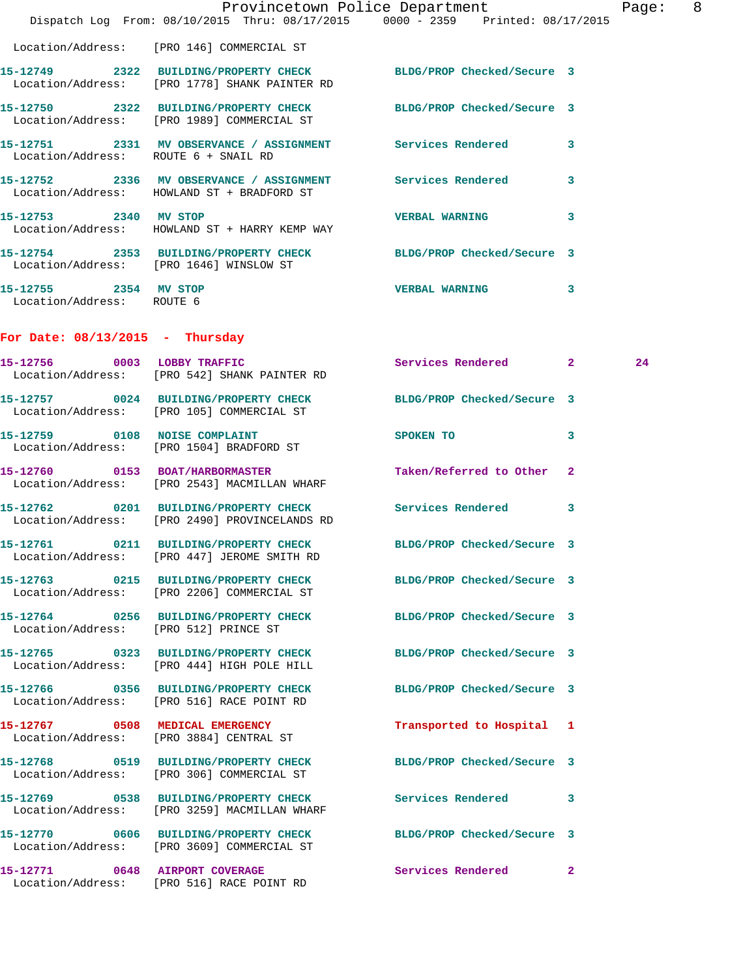|                                                    | Dispatch Log From: 08/10/2015 Thru: 08/17/2015 0000 - 2359 Printed: 08/17/2015                                    | Provincetown Police Department |              | Page: 8 |  |
|----------------------------------------------------|-------------------------------------------------------------------------------------------------------------------|--------------------------------|--------------|---------|--|
|                                                    | Location/Address: [PRO 146] COMMERCIAL ST                                                                         |                                |              |         |  |
|                                                    | 15-12749 2322 BUILDING/PROPERTY CHECK BLDG/PROP Checked/Secure 3<br>Location/Address: [PRO 1778] SHANK PAINTER RD |                                |              |         |  |
|                                                    | 15-12750 2322 BUILDING/PROPERTY CHECK BLDG/PROP Checked/Secure 3<br>Location/Address: [PRO 1989] COMMERCIAL ST    |                                |              |         |  |
| Location/Address: ROUTE 6 + SNAIL RD               | 15-12751 2331 MV OBSERVANCE / ASSIGNMENT Services Rendered 3                                                      |                                |              |         |  |
|                                                    | 15-12752 2336 MV OBSERVANCE / ASSIGNMENT Services Rendered<br>Location/Address: HOWLAND ST + BRADFORD ST          |                                | 3            |         |  |
| 15-12753 2340 MV STOP                              | Location/Address: HOWLAND ST + HARRY KEMP WAY                                                                     | VERBAL WARNING 3               |              |         |  |
|                                                    | 15-12754 2353 BUILDING/PROPERTY CHECK BLDG/PROP Checked/Secure 3<br>Location/Address: [PRO 1646] WINSLOW ST       |                                |              |         |  |
| 15-12755 2354 MV STOP<br>Location/Address: ROUTE 6 |                                                                                                                   | VERBAL WARNING 3               |              |         |  |
| For Date: $08/13/2015$ - Thursday                  |                                                                                                                   |                                |              |         |  |
| 15-12756 0003 LOBBY TRAFFIC                        | Location/Address: [PRO 542] SHANK PAINTER RD                                                                      | Services Rendered 2            |              | 24      |  |
|                                                    | 15-12757 0024 BUILDING/PROPERTY CHECK BLDG/PROP Checked/Secure 3<br>Location/Address: [PRO 105] COMMERCIAL ST     |                                |              |         |  |
|                                                    | 15-12759 0108 NOISE COMPLAINT<br>Location/Address: [PRO 1504] BRADFORD ST                                         | SPOKEN TO                      | 3            |         |  |
|                                                    | 15-12760 0153 BOAT/HARBORMASTER<br>Location/Address: [PRO 2543] MACMILLAN WHARF                                   | Taken/Referred to Other 2      |              |         |  |
|                                                    | 15-12762 0201 BUILDING/PROPERTY CHECK Services Rendered<br>Location/Address: [PRO 2490] PROVINCELANDS RD          |                                | $\mathbf{3}$ |         |  |
|                                                    | 15-12761 0211 BUILDING/PROPERTY CHECK BLDG/PROP Checked/Secure 3<br>Location/Address: [PRO 447] JEROME SMITH RD   |                                |              |         |  |
|                                                    | 15-12763 0215 BUILDING/PROPERTY CHECK BLDG/PROP Checked/Secure 3<br>Location/Address: [PRO 2206] COMMERCIAL ST    |                                |              |         |  |
| Location/Address: [PRO 512] PRINCE ST              | 15-12764 0256 BUILDING/PROPERTY CHECK BLDG/PROP Checked/Secure 3                                                  |                                |              |         |  |
|                                                    | 15-12765 0323 BUILDING/PROPERTY CHECK<br>Location/Address: [PRO 444] HIGH POLE HILL                               | BLDG/PROP Checked/Secure 3     |              |         |  |
|                                                    | 15-12766 0356 BUILDING/PROPERTY CHECK<br>Location/Address: [PRO 516] RACE POINT RD                                | BLDG/PROP Checked/Secure 3     |              |         |  |
|                                                    | 15-12767 0508 MEDICAL EMERGENCY<br>Location/Address: [PRO 3884] CENTRAL ST                                        | Transported to Hospital 1      |              |         |  |
|                                                    | 15-12768 0519 BUILDING/PROPERTY CHECK<br>Location/Address: [PRO 306] COMMERCIAL ST                                | BLDG/PROP Checked/Secure 3     |              |         |  |
|                                                    | 15-12769 0538 BUILDING/PROPERTY CHECK<br>Location/Address: [PRO 3259] MACMILLAN WHARF                             | Services Rendered 3            |              |         |  |
|                                                    | 15-12770 0606 BUILDING/PROPERTY CHECK BLDG/PROP Checked/Secure 3<br>Location/Address: [PRO 3609] COMMERCIAL ST    |                                |              |         |  |
|                                                    | 15-12771 0648 AIRPORT COVERAGE<br>Location/Address: [PRO 516] RACE POINT RD                                       | Services Rendered              | $\mathbf{2}$ |         |  |
|                                                    |                                                                                                                   |                                |              |         |  |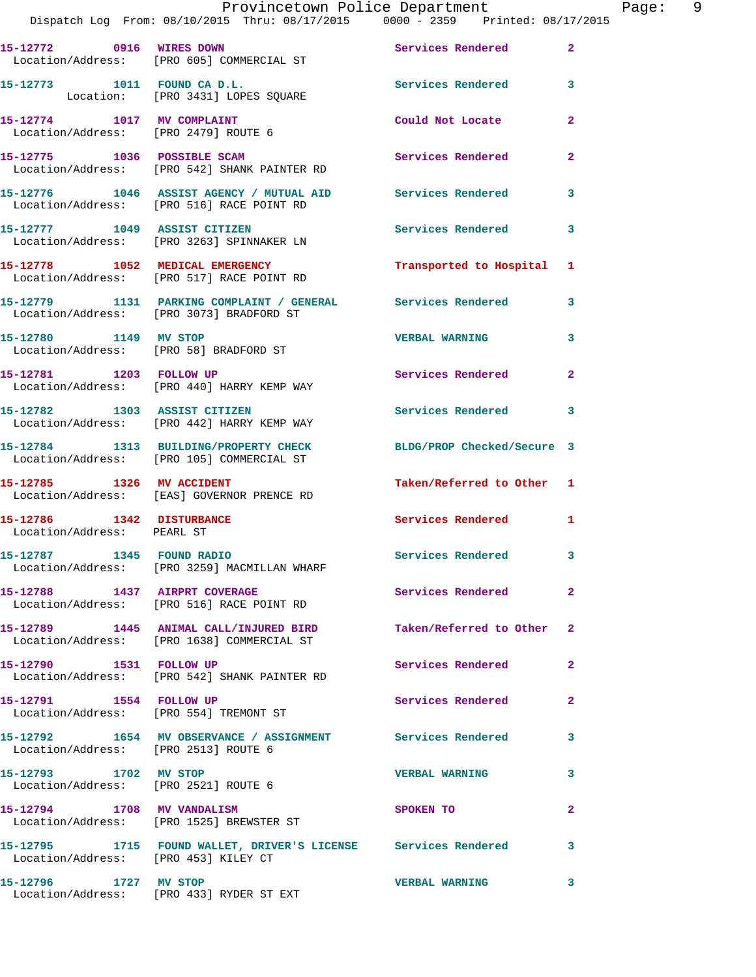|                                                         | Dispatch Log From: 08/10/2015 Thru: 08/17/2015 0000 - 2359 Printed: 08/17/2015                                | Provincetown Police Department |                         | Page: 9 |  |
|---------------------------------------------------------|---------------------------------------------------------------------------------------------------------------|--------------------------------|-------------------------|---------|--|
|                                                         | 15-12772 0916 WIRES DOWN<br>Location/Address: [PRO 605] COMMERCIAL ST                                         | Services Rendered 2            |                         |         |  |
|                                                         | 15-12773 1011 FOUND CA D.L.<br>Location: [PRO 3431] LOPES SQUARE                                              | Services Rendered 3            |                         |         |  |
| Location/Address: [PRO 2479] ROUTE 6                    | 15-12774 1017 MV COMPLAINT                                                                                    | Could Not Locate               | $\mathbf{2}$            |         |  |
|                                                         | 15-12775 1036 POSSIBLE SCAM<br>Location/Address: [PRO 542] SHANK PAINTER RD                                   | Services Rendered              | $\mathbf{2}$            |         |  |
|                                                         | 15-12776 1046 ASSIST AGENCY / MUTUAL AID Services Rendered 3<br>Location/Address: [PRO 516] RACE POINT RD     |                                |                         |         |  |
|                                                         | 15-12777 1049 ASSIST CITIZEN<br>Location/Address: [PRO 3263] SPINNAKER LN                                     | Services Rendered              | 3                       |         |  |
|                                                         | 15-12778 1052 MEDICAL EMERGENCY<br>Location/Address: [PRO 517] RACE POINT RD                                  | Transported to Hospital 1      |                         |         |  |
|                                                         | 15-12779 1131 PARKING COMPLAINT / GENERAL Services Rendered 3<br>Location/Address: [PRO 3073] BRADFORD ST     |                                |                         |         |  |
| 15-12780 1149 MV STOP                                   | Location/Address: [PRO 58] BRADFORD ST                                                                        | <b>VERBAL WARNING</b> 3        |                         |         |  |
|                                                         | 15-12781 1203 FOLLOW UP<br>Location/Address: [PRO 440] HARRY KEMP WAY                                         | Services Rendered              | $\mathbf{2}$            |         |  |
|                                                         | 15-12782 1303 ASSIST CITIZEN<br>Location/Address: [PRO 442] HARRY KEMP WAY                                    | Services Rendered 3            |                         |         |  |
|                                                         | 15-12784 1313 BUILDING/PROPERTY CHECK BLDG/PROP Checked/Secure 3<br>Location/Address: [PRO 105] COMMERCIAL ST |                                |                         |         |  |
| 15-12785 1326 MV ACCIDENT                               | Location/Address: [EAS] GOVERNOR PRENCE RD                                                                    | Taken/Referred to Other 1      |                         |         |  |
| 15-12786 1342 DISTURBANCE<br>Location/Address: PEARL ST |                                                                                                               | Services Rendered              | 1                       |         |  |
|                                                         | Location/Address: [PRO 3259] MACMILLAN WHARF                                                                  | Services Rendered              | 3                       |         |  |
| 15-12788 1437 AIRPRT COVERAGE                           | Location/Address: [PRO 516] RACE POINT RD                                                                     | Services Rendered              | 2                       |         |  |
|                                                         | 15-12789 1445 ANIMAL CALL/INJURED BIRD<br>Location/Address: [PRO 1638] COMMERCIAL ST                          | Taken/Referred to Other        | $\overline{\mathbf{2}}$ |         |  |
|                                                         |                                                                                                               |                                |                         |         |  |

15-12790 1531 FOLLOW UP **Services Rendered** 2 Location/Address: [PRO 542] SHANK PAINTER RD

Location/Address: [PRO 554] TREMONT ST

Location/Address: [PRO 2513] ROUTE 6

Location/Address: [PRO 2521] ROUTE 6

Location/Address: [PRO 1525] BREWSTER ST

Location/Address: [PRO 453] KILEY CT

**15-12795 1715 FOUND WALLET, DRIVER'S LICENSE Services Rendered 3** 

**15-12796 1727 MV STOP VERBAL WARNING 3**  Location/Address: [PRO 433] RYDER ST EXT

**15-12792 1654 MV OBSERVANCE / ASSIGNMENT Services Rendered 3** 

**15-12793 1702 MV STOP VERBAL WARNING 3** 

**15-12794 1708 MV VANDALISM SPOKEN TO 2** 

**15-12791 1554 FOLLOW UP Services Rendered 2**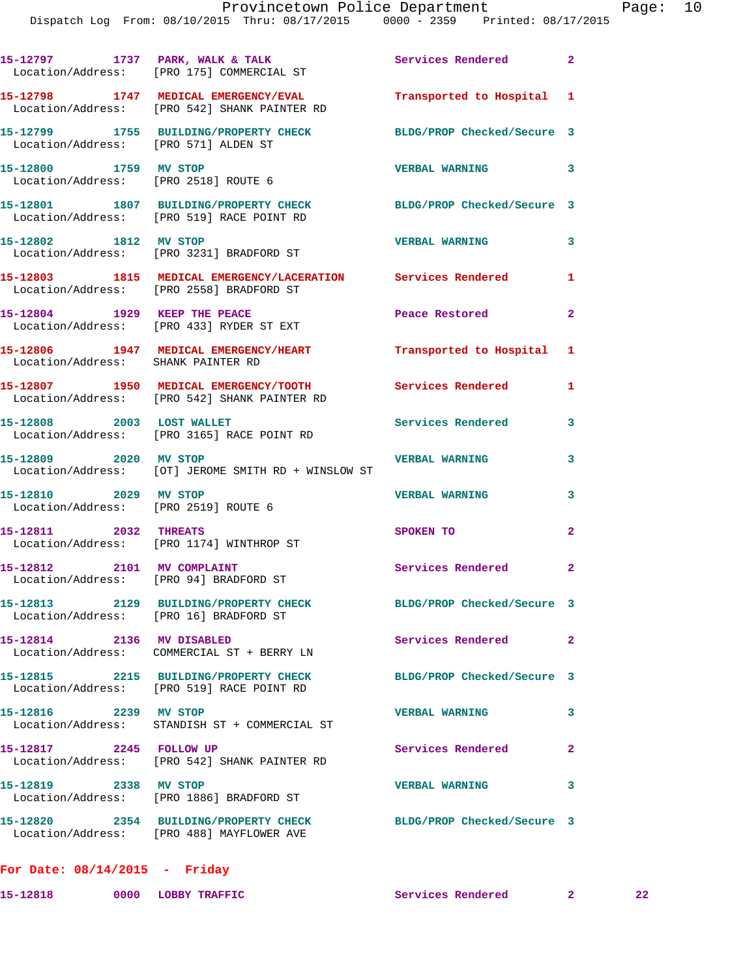|                                                                      | 15-12797 1737 PARK, WALK & TALK<br>Location/Address: [PRO 175] COMMERCIAL ST                             | Services Rendered 2        |                            |
|----------------------------------------------------------------------|----------------------------------------------------------------------------------------------------------|----------------------------|----------------------------|
|                                                                      | 15-12798 1747 MEDICAL EMERGENCY/EVAL<br>Location/Address: [PRO 542] SHANK PAINTER RD                     | Transported to Hospital 1  |                            |
| Location/Address: [PRO 571] ALDEN ST                                 | 15-12799 1755 BUILDING/PROPERTY CHECK                                                                    | BLDG/PROP Checked/Secure 3 |                            |
| 15-12800 1759 MV STOP                                                | Location/Address: [PRO 2518] ROUTE 6                                                                     | <b>VERBAL WARNING</b>      | $\overline{\phantom{a}}$ 3 |
|                                                                      | 15-12801 1807 BUILDING/PROPERTY CHECK<br>Location/Address: [PRO 519] RACE POINT RD                       | BLDG/PROP Checked/Secure 3 |                            |
| 15-12802 1812 MV STOP                                                | Location/Address: [PRO 3231] BRADFORD ST                                                                 | <b>VERBAL WARNING</b>      | $\mathbf{3}$               |
|                                                                      | 15-12803 1815 MEDICAL EMERGENCY/LACERATION Services Rendered<br>Location/Address: [PRO 2558] BRADFORD ST |                            | 1                          |
| 15-12804 1929 KEEP THE PEACE                                         | Location/Address: [PRO 433] RYDER ST EXT                                                                 | Peace Restored             | $\mathbf{2}$               |
|                                                                      | 15-12806 1947 MEDICAL EMERGENCY/HEART<br>Location/Address: SHANK PAINTER RD                              | Transported to Hospital 1  |                            |
|                                                                      | 15-12807 1950 MEDICAL EMERGENCY/TOOTH<br>Location/Address: [PRO 542] SHANK PAINTER RD                    | Services Rendered          | 1                          |
|                                                                      | 15-12808 2003 LOST WALLET<br>Location/Address: [PRO 3165] RACE POINT RD                                  | <b>Services Rendered</b>   | 3                          |
| 15-12809 2020 MV STOP                                                | Location/Address: [OT] JEROME SMITH RD + WINSLOW ST                                                      | <b>VERBAL WARNING</b>      | 3                          |
| 15-12810 2029 MV STOP                                                | Location/Address: [PRO 2519] ROUTE 6                                                                     | <b>VERBAL WARNING</b>      | 3                          |
| 15-12811 2032 THREATS                                                | Location/Address: [PRO 1174] WINTHROP ST                                                                 | SPOKEN TO                  | $\mathbf{2}$               |
| 15-12812 2101 MV COMPLAINT<br>Location/Address: [PRO 94] BRADFORD ST |                                                                                                          | Services Rendered 2        |                            |
| Location/Address: [PRO 16] BRADFORD ST                               | 15-12813 2129 BUILDING/PROPERTY CHECK                                                                    | BLDG/PROP Checked/Secure 3 |                            |
| 15-12814 2136 MV DISABLED                                            | Location/Address: COMMERCIAL ST + BERRY LN                                                               | Services Rendered          | $\mathbf{2}$               |
|                                                                      | 15-12815 2215 BUILDING/PROPERTY CHECK<br>Location/Address: [PRO 519] RACE POINT RD                       | BLDG/PROP Checked/Secure 3 |                            |
| 15-12816 2239 MV STOP                                                | Location/Address: STANDISH ST + COMMERCIAL ST                                                            | <b>VERBAL WARNING</b>      | 3                          |
| 15-12817 2245 FOLLOW UP                                              | Location/Address: [PRO 542] SHANK PAINTER RD                                                             | Services Rendered          | $\mathbf{2}$               |
| 15-12819 2338 MV STOP                                                | Location/Address: [PRO 1886] BRADFORD ST                                                                 | <b>VERBAL WARNING</b>      | 3                          |
|                                                                      | 15-12820 2354 BUILDING/PROPERTY CHECK<br>Location/Address: [PRO 488] MAYFLOWER AVE                       | BLDG/PROP Checked/Secure 3 |                            |
|                                                                      |                                                                                                          |                            |                            |

**For Date: 08/14/2015 - Friday**

**15-12818 0000 LOBBY TRAFFIC Services Rendered 2 22**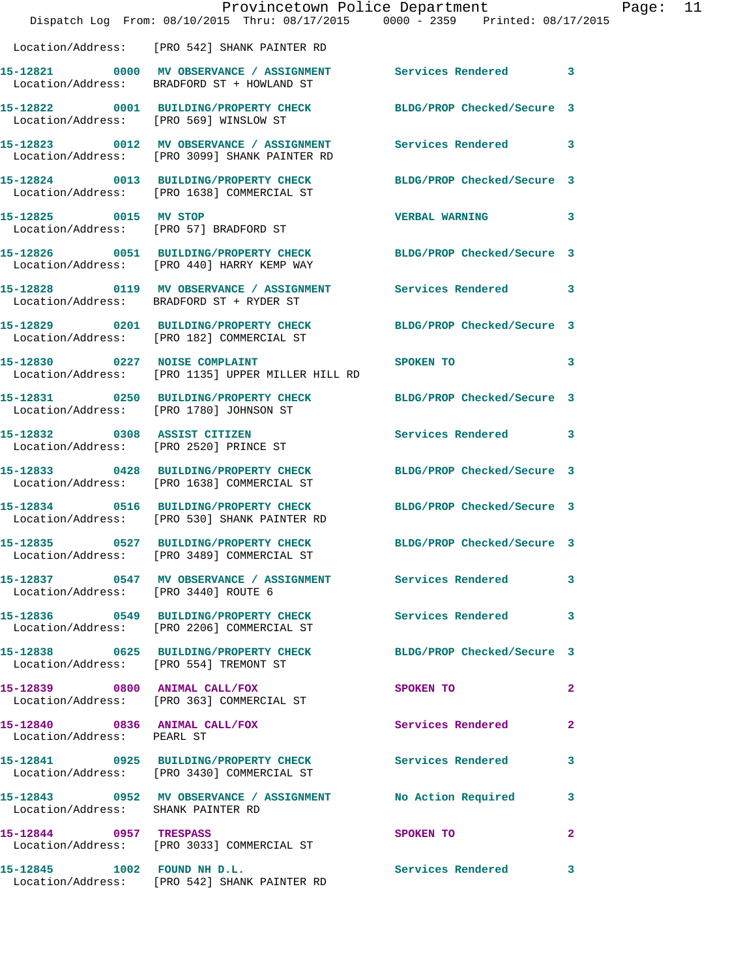|                                        | Provincetown Police Department<br>Dispatch Log From: 08/10/2015 Thru: 08/17/2015 0000 - 2359 Printed: 08/17/2015 |                            |                |
|----------------------------------------|------------------------------------------------------------------------------------------------------------------|----------------------------|----------------|
|                                        | Location/Address: [PRO 542] SHANK PAINTER RD                                                                     |                            |                |
|                                        | 15-12821 0000 MV OBSERVANCE / ASSIGNMENT<br>Location/Address: BRADFORD ST + HOWLAND ST                           | Services Rendered          | $\mathbf{3}$   |
| Location/Address: [PRO 569] WINSLOW ST | 15-12822 0001 BUILDING/PROPERTY CHECK                                                                            | BLDG/PROP Checked/Secure 3 |                |
|                                        | 15-12823 0012 MV OBSERVANCE / ASSIGNMENT<br>Location/Address: [PRO 3099] SHANK PAINTER RD                        | Services Rendered          | 3              |
|                                        | 15-12824 0013 BUILDING/PROPERTY CHECK<br>Location/Address: [PRO 1638] COMMERCIAL ST                              | BLDG/PROP Checked/Secure 3 |                |
| 15-12825 0015 MV STOP                  | Location/Address: [PRO 57] BRADFORD ST                                                                           | <b>VERBAL WARNING</b>      | 3              |
|                                        | 15-12826 0051 BUILDING/PROPERTY CHECK BLDG/PROP Checked/Secure 3<br>Location/Address: [PRO 440] HARRY KEMP WAY   |                            |                |
|                                        | 15-12828 0119 MV OBSERVANCE / ASSIGNMENT<br>Location/Address: BRADFORD ST + RYDER ST                             | Services Rendered 3        |                |
|                                        | 15-12829 0201 BUILDING/PROPERTY CHECK<br>Location/Address: [PRO 182] COMMERCIAL ST                               | BLDG/PROP Checked/Secure 3 |                |
| 15-12830 0227 NOISE COMPLAINT          | Location/Address: [PRO 1135] UPPER MILLER HILL RD                                                                | SPOKEN TO                  | 3              |
|                                        | 15-12831 0250 BUILDING/PROPERTY CHECK<br>Location/Address: [PRO 1780] JOHNSON ST                                 | BLDG/PROP Checked/Secure 3 |                |
| 15-12832 0308 ASSIST CITIZEN           | Location/Address: [PRO 2520] PRINCE ST                                                                           | Services Rendered          | 3              |
|                                        | 15-12833 0428 BUILDING/PROPERTY CHECK<br>Location/Address: [PRO 1638] COMMERCIAL ST                              | BLDG/PROP Checked/Secure 3 |                |
|                                        | 15-12834 0516 BUILDING/PROPERTY CHECK<br>Location/Address: [PRO 530] SHANK PAINTER RD                            | BLDG/PROP Checked/Secure 3 |                |
|                                        | 15-12835 0527 BUILDING/PROPERTY CHECK BLDG/PROP Checked/Secure 3<br>Location/Address: [PRO 3489] COMMERCIAL ST   |                            |                |
| Location/Address: [PRO 3440] ROUTE 6   | 15-12837 0547 MV OBSERVANCE / ASSIGNMENT Services Rendered                                                       |                            | 3              |
|                                        | 15-12836 0549 BUILDING/PROPERTY CHECK<br>Location/Address: [PRO 2206] COMMERCIAL ST                              | Services Rendered          | 3              |
| Location/Address: [PRO 554] TREMONT ST | 15-12838 0625 BUILDING/PROPERTY CHECK BLDG/PROP Checked/Secure 3                                                 |                            |                |
|                                        | 15-12839 0800 ANIMAL CALL/FOX<br>Location/Address: [PRO 363] COMMERCIAL ST                                       | SPOKEN TO                  | $\overline{2}$ |
| Location/Address: PEARL ST             | 15-12840 0836 ANIMAL CALL/FOX                                                                                    | Services Rendered          | $\mathbf{2}$   |
|                                        | 15-12841 0925 BUILDING/PROPERTY CHECK<br>Location/Address: [PRO 3430] COMMERCIAL ST                              | <b>Services Rendered</b>   | 3              |
| Location/Address: SHANK PAINTER RD     | 15-12843 0952 MV OBSERVANCE / ASSIGNMENT                                                                         | No Action Required         | 3              |
| 15-12844 0957 TRESPASS                 | Location/Address: [PRO 3033] COMMERCIAL ST                                                                       | SPOKEN TO                  | $\overline{2}$ |
| 15-12845 1002 FOUND NH D.L.            | Location/Address: [PRO 542] SHANK PAINTER RD                                                                     | Services Rendered          | 3              |

Page: 11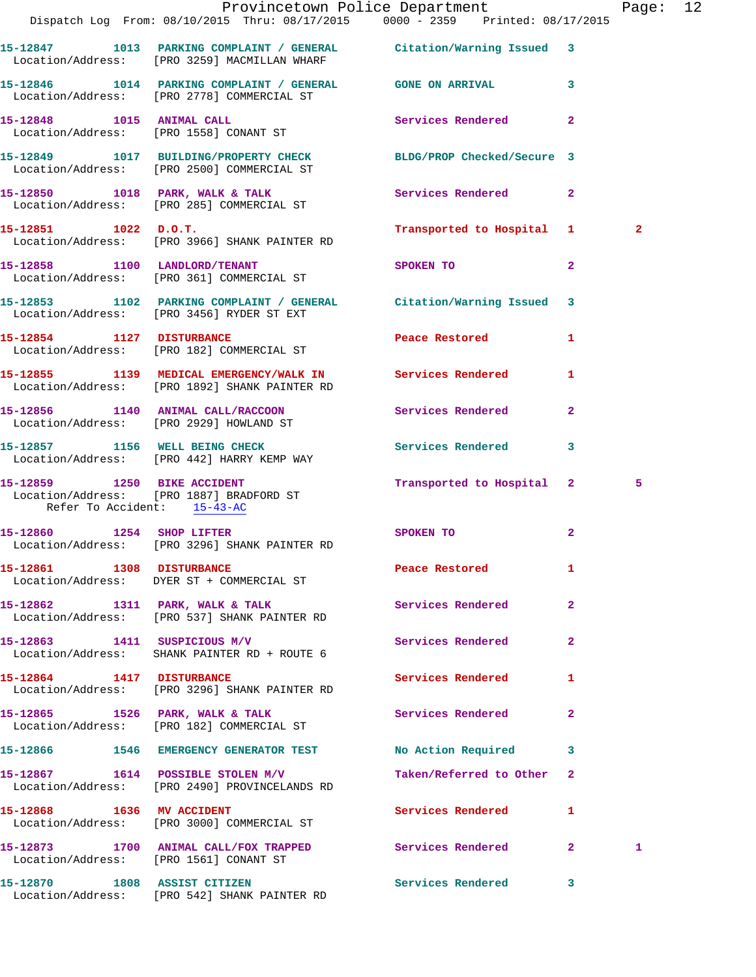|                              |                                                                                                                        | Provincetown Police Department<br>Dispatch Log From: 08/10/2015 Thru: 08/17/2015 0000 - 2359 Printed: 08/17/2015 | Page: 12       |  |
|------------------------------|------------------------------------------------------------------------------------------------------------------------|------------------------------------------------------------------------------------------------------------------|----------------|--|
|                              |                                                                                                                        |                                                                                                                  |                |  |
|                              | 15-12847 1013 PARKING COMPLAINT / GENERAL Citation/Warning Issued 3<br>Location/Address: [PRO 3259] MACMILLAN WHARF    |                                                                                                                  |                |  |
|                              | 15-12846 1014 PARKING COMPLAINT / GENERAL GONE ON ARRIVAL 3<br>Location/Address: [PRO 2778] COMMERCIAL ST              |                                                                                                                  |                |  |
|                              | 15-12848 1015 ANIMAL CALL<br>Location/Address: [PRO 1558] CONANT ST                                                    | Services Rendered 2                                                                                              |                |  |
|                              | 15-12849   1017   BUILDING/PROPERTY CHECK   BLDG/PROP Checked/Secure   3<br>Location/Address: [PRO 2500] COMMERCIAL ST |                                                                                                                  |                |  |
|                              | 15-12850 1018 PARK, WALK & TALK<br>Location/Address: [PRO 285] COMMERCIAL ST                                           | Services Rendered 2                                                                                              |                |  |
|                              | 15-12851 1022 D.O.T.<br>Location/Address: [PRO 3966] SHANK PAINTER RD                                                  | Transported to Hospital 1                                                                                        | $\overline{2}$ |  |
|                              | 15-12858 1100 LANDLORD/TENANT<br>Location/Address: [PRO 361] COMMERCIAL ST                                             | SPOKEN TO<br>$\overline{2}$                                                                                      |                |  |
|                              | 15-12853 1102 PARKING COMPLAINT / GENERAL Citation/Warning Issued 3<br>Location/Address: [PRO 3456] RYDER ST EXT       |                                                                                                                  |                |  |
|                              | 15-12854 1127 DISTURBANCE<br>Location/Address: [PRO 182] COMMERCIAL ST                                                 | Peace Restored 1                                                                                                 |                |  |
|                              | 15-12855 1139 MEDICAL EMERGENCY/WALK IN Services Rendered<br>Location/Address: [PRO 1892] SHANK PAINTER RD             | 1                                                                                                                |                |  |
|                              | 15-12856 1140 ANIMAL CALL/RACCOON Services Rendered 2<br>Location/Address: [PRO 2929] HOWLAND ST                       |                                                                                                                  |                |  |
|                              | 15-12857 1156 WELL BEING CHECK<br>Location/Address: [PRO 442] HARRY KEMP WAY                                           | Services Rendered 3                                                                                              |                |  |
| Refer To Accident: 15-43-AC  | 15-12859 1250 BIKE ACCIDENT<br>Location/Address: [PRO 1887] BRADFORD ST                                                | Transported to Hospital 2                                                                                        | 5              |  |
|                              | 15-12860 1254 SHOP LIFTER<br>Location/Address: [PRO 3296] SHANK PAINTER RD                                             | SPOKEN TO<br>$\mathbf{2}$                                                                                        |                |  |
|                              | 15-12861 1308 DISTURBANCE<br>Location/Address: DYER ST + COMMERCIAL ST                                                 | Peace Restored<br>1                                                                                              |                |  |
|                              | 15-12862 1311 PARK, WALK & TALK<br>Location/Address: [PRO 537] SHANK PAINTER RD                                        | <b>Services Rendered</b><br>$\overline{2}$                                                                       |                |  |
| 15-12863 1411 SUSPICIOUS M/V | Location/Address: SHANK PAINTER RD + ROUTE 6                                                                           | Services Rendered<br>$\mathbf{2}$                                                                                |                |  |
| 15-12864 1417 DISTURBANCE    | Location/Address: [PRO 3296] SHANK PAINTER RD                                                                          | <b>Services Rendered</b><br>1                                                                                    |                |  |
|                              | 15-12865 1526 PARK, WALK & TALK<br>Location/Address: [PRO 182] COMMERCIAL ST                                           | Services Rendered<br>$\mathbf{2}$                                                                                |                |  |
|                              | 15-12866 1546 EMERGENCY GENERATOR TEST                                                                                 | No Action Required<br>3                                                                                          |                |  |
|                              | 15-12867 1614 POSSIBLE STOLEN M/V<br>Location/Address: [PRO 2490] PROVINCELANDS RD                                     | Taken/Referred to Other<br>$\mathbf{2}$                                                                          |                |  |
| 15-12868 1636 MV ACCIDENT    | Location/Address: [PRO 3000] COMMERCIAL ST                                                                             | Services Rendered<br>1                                                                                           |                |  |
|                              | Location/Address: [PRO 1561] CONANT ST                                                                                 | 15-12873 1700 ANIMAL CALL/FOX TRAPPED Services Rendered 2                                                        | 1              |  |
| 15-12870 1808 ASSIST CITIZEN | Location/Address: [PRO 542] SHANK PAINTER RD                                                                           | Services Rendered 3                                                                                              |                |  |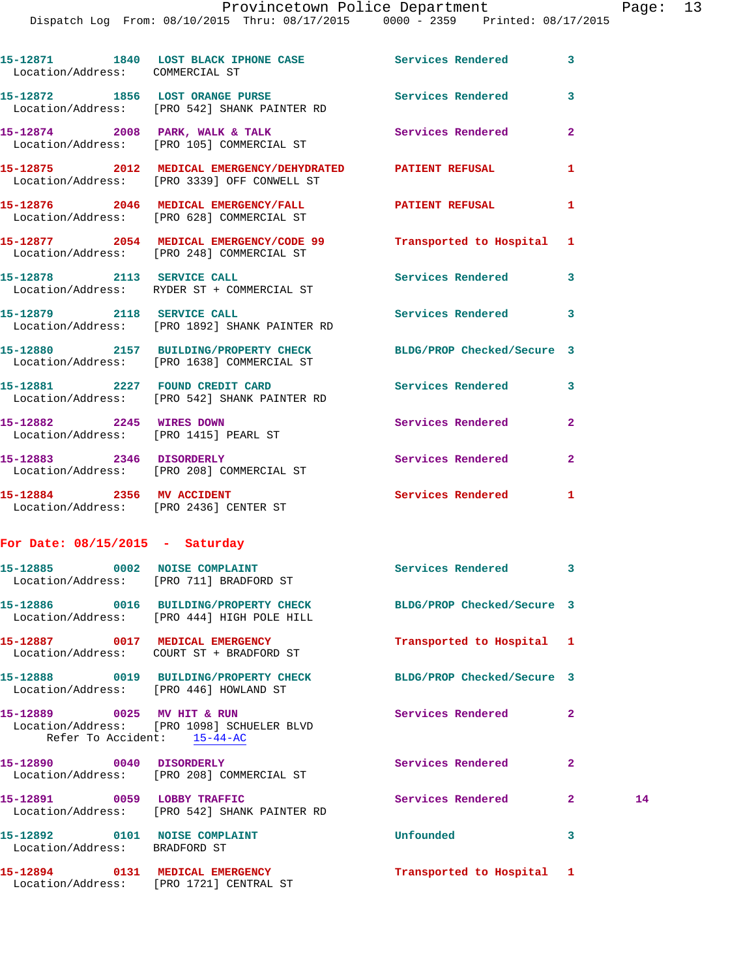## Provincetown Police Department Page: 13

Dispatch Log From: 08/10/2015 Thru: 08/17/2015 0000 - 2359 Printed: 08/17/2015

| Location/Address: COMMERCIAL ST                           | 15-12871 1840 LOST BLACK IPHONE CASE Services Rendered 3                                                       |                            |                |    |
|-----------------------------------------------------------|----------------------------------------------------------------------------------------------------------------|----------------------------|----------------|----|
|                                                           | 15-12872 1856 LOST ORANGE PURSE<br>Location/Address: [PRO 542] SHANK PAINTER RD                                | Services Rendered          | 3              |    |
|                                                           | 15-12874 2008 PARK, WALK & TALK 2008 2008 PARK, 2008 2014<br>Location/Address: [PRO 105] COMMERCIAL ST         |                            | $\mathbf{2}$   |    |
|                                                           | 15-12875 2012 MEDICAL EMERGENCY/DEHYDRATED PATIENT REFUSAL<br>Location/Address: [PRO 3339] OFF CONWELL ST      |                            | 1              |    |
|                                                           | 15-12876 2046 MEDICAL EMERGENCY/FALL 2014 PATIENT REFUSAL<br>Location/Address: [PRO 628] COMMERCIAL ST         |                            | 1              |    |
|                                                           | 15-12877 2054 MEDICAL EMERGENCY/CODE 99 Transported to Hospital 1<br>Location/Address: [PRO 248] COMMERCIAL ST |                            |                |    |
|                                                           | 15-12878 2113 SERVICE CALL<br>Location/Address: RYDER ST + COMMERCIAL ST                                       | Services Rendered 3        |                |    |
| 15-12879 2118 SERVICE CALL                                | Location/Address: [PRO 1892] SHANK PAINTER RD                                                                  | Services Rendered 3        |                |    |
|                                                           | 15-12880 2157 BUILDING/PROPERTY CHECK BLDG/PROP Checked/Secure 3<br>Location/Address: [PRO 1638] COMMERCIAL ST |                            |                |    |
|                                                           | 15-12881 2227 FOUND CREDIT CARD<br>Location/Address: [PRO 542] SHANK PAINTER RD                                | <b>Services Rendered</b>   | 3              |    |
| 15-12882 2245 WIRES DOWN                                  | Location/Address: [PRO 1415] PEARL ST                                                                          | <b>Services Rendered</b>   | $\overline{2}$ |    |
| 15-12883 2346 DISORDERLY                                  | Location/Address: [PRO 208] COMMERCIAL ST                                                                      | <b>Services Rendered</b>   | $\mathbf{2}$   |    |
| 15-12884 2356 MV ACCIDENT                                 | Location/Address: [PRO 2436] CENTER ST                                                                         | Services Rendered 1        |                |    |
| For Date: $08/15/2015$ - Saturday                         |                                                                                                                |                            |                |    |
| 15-12885 0002 NOISE COMPLAINT                             | Location/Address: [PRO 711] BRADFORD ST                                                                        | Services Rendered 3        |                |    |
|                                                           | 15-12886 0016 BUILDING/PROPERTY CHECK<br>Location/Address: [PRO 444] HIGH POLE HILL                            | BLDG/PROP Checked/Secure 3 |                |    |
|                                                           | 15-12887 0017 MEDICAL EMERGENCY<br>Location/Address: COURT ST + BRADFORD ST                                    | Transported to Hospital 1  |                |    |
| Location/Address: [PRO 446] HOWLAND ST                    | 15-12888 0019 BUILDING/PROPERTY CHECK                                                                          | BLDG/PROP Checked/Secure 3 |                |    |
| 15-12889 0025 MV HIT & RUN<br>Refer To Accident: 15-44-AC | Location/Address: [PRO 1098] SCHUELER BLVD                                                                     | Services Rendered          | 2              |    |
| 15-12890 0040 DISORDERLY                                  | Location/Address: [PRO 208] COMMERCIAL ST                                                                      | <b>Services Rendered</b>   | $\mathbf{2}$   |    |
| 15-12891 0059 LOBBY TRAFFIC                               | Location/Address: [PRO 542] SHANK PAINTER RD                                                                   | Services Rendered          | $\mathbf{2}$   | 14 |

**15-12892 0101 NOISE COMPLAINT Unfounded 3**  Location/Address: BRADFORD ST

**15-12894 0131 MEDICAL EMERGENCY Transported to Hospital 1**  Location/Address: [PRO 1721] CENTRAL ST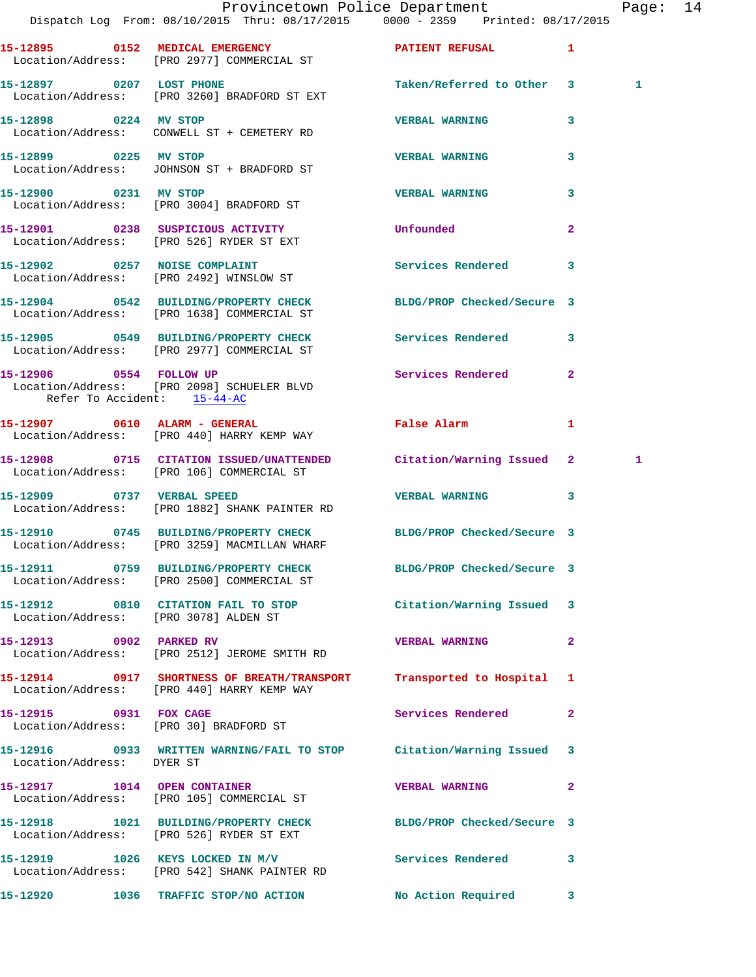|                                       | Dispatch Log From: 08/10/2015 Thru: 08/17/2015 0000 - 2359 Printed: 08/17/2015                                       | Provincetown Police Department |              | Page: 14 |  |
|---------------------------------------|----------------------------------------------------------------------------------------------------------------------|--------------------------------|--------------|----------|--|
|                                       | 15-12895 0152 MEDICAL EMERGENCY <b>EXERGENER PATIENT REFUSAL</b> 1<br>Location/Address: [PRO 2977] COMMERCIAL ST     |                                |              |          |  |
| 15-12897 0207 LOST PHONE              | Location/Address: [PRO 3260] BRADFORD ST EXT                                                                         | Taken/Referred to Other 3      |              | 1        |  |
|                                       | 15-12898 0224 MV STOP<br>Location/Address: CONWELL ST + CEMETERY RD                                                  | <b>VERBAL WARNING</b>          | 3            |          |  |
| 15-12899 0225 MV STOP                 | Location/Address: JOHNSON ST + BRADFORD ST                                                                           | <b>VERBAL WARNING</b>          | 3            |          |  |
|                                       | 15-12900 0231 MV STOP<br>Location/Address: [PRO 3004] BRADFORD ST                                                    | <b>VERBAL WARNING</b>          | 3            |          |  |
|                                       | 15-12901 0238 SUSPICIOUS ACTIVITY<br>Location/Address: [PRO 526] RYDER ST EXT                                        | Unfounded                      | $\mathbf{2}$ |          |  |
|                                       | 15-12902 0257 NOISE COMPLAINT<br>Location/Address: [PRO 2492] WINSLOW ST                                             | Services Rendered 3            |              |          |  |
|                                       | 15-12904 0542 BUILDING/PROPERTY CHECK BLDG/PROP Checked/Secure 3<br>Location/Address: [PRO 1638] COMMERCIAL ST       |                                |              |          |  |
|                                       | 15-12905 0549 BUILDING/PROPERTY CHECK Services Rendered 3<br>Location/Address: [PRO 2977] COMMERCIAL ST              |                                |              |          |  |
| Refer To Accident: 15-44-AC           | 15-12906 0554 FOLLOW UP<br>Location/Address: [PRO 2098] SCHUELER BLVD                                                | Services Rendered 2            |              |          |  |
|                                       | 15-12907 0610 ALARM - GENERAL<br>Location/Address: [PRO 440] HARRY KEMP WAY                                          | False Alarm                    | $\mathbf{1}$ |          |  |
|                                       | 15-12908 0715 CITATION ISSUED/UNATTENDED Citation/Warning Issued 2<br>Location/Address: [PRO 106] COMMERCIAL ST      |                                |              | 1        |  |
| 15-12909 0737 VERBAL SPEED            | Location/Address: [PRO 1882] SHANK PAINTER RD                                                                        | <b>VERBAL WARNING</b>          | $\mathbf{3}$ |          |  |
|                                       | 15-12910 0745 BUILDING/PROPERTY CHECK BLDG/PROP Checked/Secure 3<br>Location/Address: [PRO 3259] MACMILLAN WHARF     |                                |              |          |  |
|                                       | 15-12911 0759 BUILDING/PROPERTY CHECK BLDG/PROP Checked/Secure 3<br>Location/Address: [PRO 2500] COMMERCIAL ST       |                                |              |          |  |
| Location/Address: [PRO 3078] ALDEN ST | 15-12912 0810 CITATION FAIL TO STOP                                                                                  | Citation/Warning Issued 3      |              |          |  |
| 15-12913 0902 PARKED RV               | Location/Address: [PRO 2512] JEROME SMITH RD                                                                         | VERBAL WARNING 2               |              |          |  |
|                                       | 15-12914 0917 SHORTNESS OF BREATH/TRANSPORT<br>Location/Address: [PRO 440] HARRY KEMP WAY                            | Transported to Hospital 1      |              |          |  |
| 15-12915 0931 FOX CAGE                | Location/Address: [PRO 30] BRADFORD ST                                                                               | Services Rendered 2            |              |          |  |
| Location/Address: DYER ST             | 15-12916 0933 WRITTEN WARNING/FAIL TO STOP Citation/Warning Issued 3                                                 |                                |              |          |  |
|                                       | 15-12917 1014 OPEN CONTAINER<br>Location/Address: [PRO 105] COMMERCIAL ST                                            | <b>VERBAL WARNING</b>          | $\mathbf{2}$ |          |  |
|                                       | 15-12918   1021   BUILDING/PROPERTY CHECK   BLDG/PROP Checked/Secure   3<br>Location/Address: [PRO 526] RYDER ST EXT |                                |              |          |  |
|                                       | 15-12919 1026 KEYS LOCKED IN M/V<br>Location/Address: [PRO 542] SHANK PAINTER RD                                     | Services Rendered 3            |              |          |  |
|                                       | 15-12920 1036 TRAFFIC STOP/NO ACTION No Action Required 3                                                            |                                |              |          |  |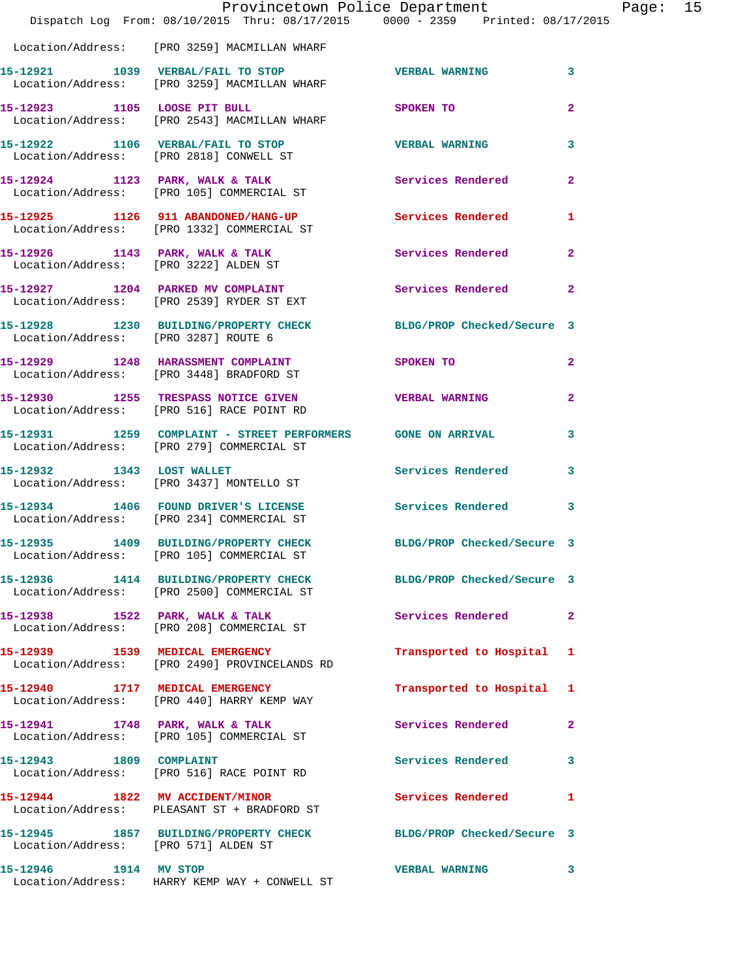|                                      | Dispatch Log From: 08/10/2015 Thru: 08/17/2015 0000 - 2359 Printed: 08/17/2015                                 | Provincetown Police Department | Page: 15       |
|--------------------------------------|----------------------------------------------------------------------------------------------------------------|--------------------------------|----------------|
|                                      |                                                                                                                |                                |                |
|                                      | Location/Address: [PRO 3259] MACMILLAN WHARF                                                                   |                                |                |
|                                      | 15-12921 1039 VERBAL/FAIL TO STOP THE VERBAL WARNING 3<br>Location/Address: [PRO 3259] MACMILLAN WHARF         |                                |                |
|                                      | 15-12923 1105 LOOSE PIT BULL<br>Location/Address: [PRO 2543] MACMILLAN WHARF                                   | SPOKEN TO                      | $\overline{2}$ |
|                                      | 15-12922 1106 VERBAL/FAIL TO STOP TERBAL WARNING<br>Location/Address: [PRO 2818] CONWELL ST                    |                                | 3              |
|                                      | 15-12924 1123 PARK, WALK & TALK 1988 Services Rendered<br>Location/Address: [PRO 105] COMMERCIAL ST            |                                | $\mathbf{2}$   |
|                                      | 15-12925 1126 911 ABANDONED/HANG-UP Services Rendered 1<br>Location/Address: [PRO 1332] COMMERCIAL ST          |                                |                |
|                                      | 15-12926 1143 PARK, WALK & TALK Services Rendered Execution Address: [PRO 3222] ALDEN ST                       |                                | $\mathbf{2}$   |
|                                      | 15-12927 1204 PARKED MV COMPLAINT<br>Location/Address: [PRO 2539] RYDER ST EXT                                 | Services Rendered              | $\mathbf{2}$   |
| Location/Address: [PRO 3287] ROUTE 6 | 15-12928 1230 BUILDING/PROPERTY CHECK BLDG/PROP Checked/Secure 3                                               |                                |                |
|                                      | 15-12929 1248 HARASSMENT COMPLAINT<br>Location/Address: [PRO 3448] BRADFORD ST                                 | <b>SPOKEN TO</b>               | $\mathbf{2}$   |
|                                      | 15-12930 1255 TRESPASS NOTICE GIVEN<br>Location/Address: [PRO 516] RACE POINT RD                               | <b>VERBAL WARNING</b>          | $\mathbf{2}$   |
|                                      | 15-12931 1259 COMPLAINT - STREET PERFORMERS GONE ON ARRIVAL<br>Location/Address: [PRO 279] COMMERCIAL ST       |                                | 3              |
|                                      | 15-12932 1343 LOST WALLET<br>Location/Address: [PRO 3437] MONTELLO ST                                          | Services Rendered 3            |                |
|                                      | 15-12934 1406 FOUND DRIVER'S LICENSE 5 Services Rendered 3<br>Location/Address: [PRO 234] COMMERCIAL ST        |                                |                |
|                                      | 15-12935 1409 BUILDING/PROPERTY CHECK BLDG/PROP Checked/Secure 3<br>Location/Address: [PRO 105] COMMERCIAL ST  |                                |                |
|                                      | 15-12936 1414 BUILDING/PROPERTY CHECK BLDG/PROP Checked/Secure 3<br>Location/Address: [PRO 2500] COMMERCIAL ST |                                |                |
|                                      | 15-12938 1522 PARK, WALK & TALK<br>Location/Address: [PRO 208] COMMERCIAL ST                                   | Services Rendered 2            |                |
|                                      | 15-12939 1539 MEDICAL EMERGENCY<br>Location/Address: [PRO 2490] PROVINCELANDS RD                               | Transported to Hospital 1      |                |
|                                      | 15-12940 1717 MEDICAL EMERGENCY<br>Location/Address: [PRO 440] HARRY KEMP WAY                                  | Transported to Hospital 1      |                |
|                                      | 15-12941 1748 PARK, WALK & TALK<br>Location/Address: [PRO 105] COMMERCIAL ST                                   | Services Rendered              | $\mathbf{2}$   |
|                                      | 15-12943 1809 COMPLAINT<br>Location/Address: [PRO 516] RACE POINT RD                                           | Services Rendered 3            |                |
|                                      | 15-12944 1822 MV ACCIDENT/MINOR<br>Location/Address: PLEASANT ST + BRADFORD ST                                 | Services Rendered 1            |                |
| Location/Address: [PRO 571] ALDEN ST | 15-12945 1857 BUILDING/PROPERTY CHECK BLDG/PROP Checked/Secure 3                                               |                                |                |
| 15-12946 1914 MV STOP                | Location/Address: HARRY KEMP WAY + CONWELL ST                                                                  | <b>VERBAL WARNING</b>          | 3              |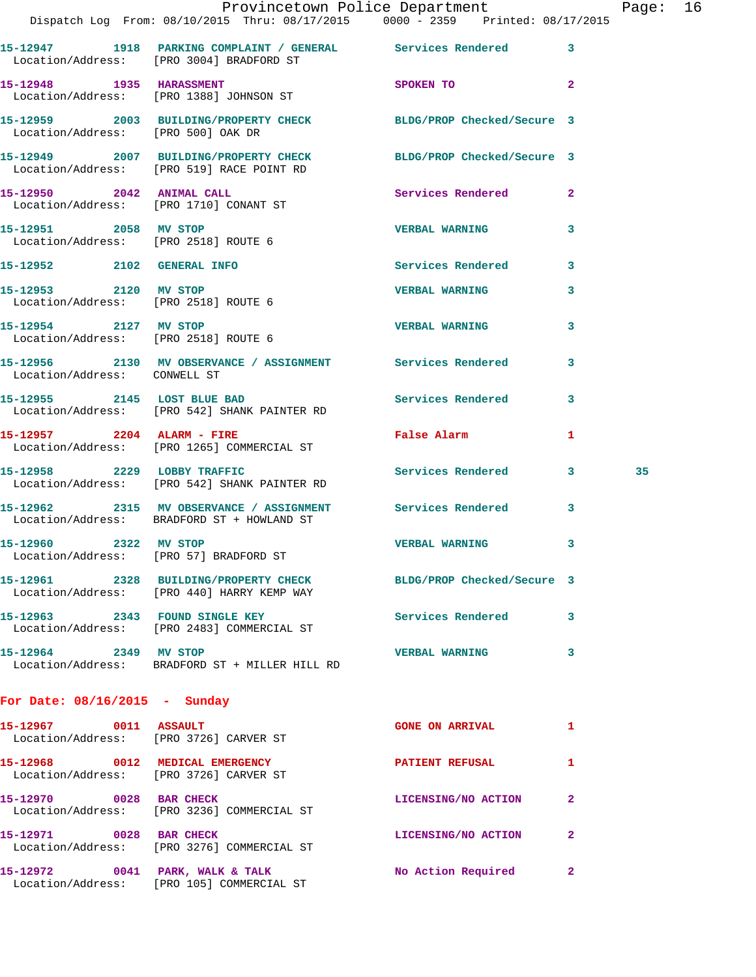|                                                               | Dispatch Log From: 08/10/2015 Thru: 08/17/2015 0000 - 2359 Printed: 08/17/2015                                 | Provincetown Police Department         | Page: 16 |  |
|---------------------------------------------------------------|----------------------------------------------------------------------------------------------------------------|----------------------------------------|----------|--|
|                                                               | 15-12947 1918 PARKING COMPLAINT / GENERAL Services Rendered 3<br>Location/Address: [PRO 3004] BRADFORD ST      |                                        |          |  |
|                                                               | 15-12948 1935 HARASSMENT<br>Location/Address: [PRO 1388] JOHNSON ST                                            | SPOKEN TO 2                            |          |  |
|                                                               | 15-12959 2003 BUILDING/PROPERTY CHECK BLDG/PROP Checked/Secure 3<br>Location/Address: [PRO 500] OAK DR         |                                        |          |  |
|                                                               | 15-12949 2007 BUILDING/PROPERTY CHECK BLDG/PROP Checked/Secure 3<br>Location/Address: [PRO 519] RACE POINT RD  |                                        |          |  |
|                                                               | 15-12950 2042 ANIMAL CALL<br>Location/Address: [PRO 1710] CONANT ST                                            | Services Rendered 2                    |          |  |
| Location/Address: [PRO 2518] ROUTE 6                          | 15-12951 2058 MV STOP                                                                                          | VERBAL WARNING 3                       |          |  |
| 15-12952 2102 GENERAL INFO                                    |                                                                                                                | Services Rendered 3                    |          |  |
| 15-12953 2120 MV STOP                                         | Location/Address: [PRO 2518] ROUTE 6                                                                           | <b>VERBAL WARNING</b><br>3             |          |  |
| 15-12954 2127 MV STOP<br>Location/Address: [PRO 2518] ROUTE 6 |                                                                                                                | <b>VERBAL WARNING</b><br>3             |          |  |
| Location/Address: CONWELL ST                                  | 15-12956 2130 MV OBSERVANCE / ASSIGNMENT Services Rendered 3                                                   |                                        |          |  |
|                                                               | 15-12955 2145 LOST BLUE BAD<br>Location/Address: [PRO 542] SHANK PAINTER RD                                    | Services Rendered 3                    |          |  |
|                                                               | 15-12957 2204 ALARM - FIRE<br>Location/Address: [PRO 1265] COMMERCIAL ST                                       | <b>False Alarm</b><br>1                |          |  |
| 15-12958 2229 LOBBY TRAFFIC                                   | Location/Address: [PRO 542] SHANK PAINTER RD                                                                   | Services Rendered 3                    | 35       |  |
|                                                               | 15-12962 2315 MV OBSERVANCE / ASSIGNMENT Services Rendered 3<br>Location/Address: BRADFORD ST + HOWLAND ST     |                                        |          |  |
| 15-12960 2322 MV STOP                                         | Location/Address: [PRO 57] BRADFORD ST                                                                         | <b>VERBAL WARNING</b> 3                |          |  |
|                                                               | 15-12961 2328 BUILDING/PROPERTY CHECK BLDG/PROP Checked/Secure 3<br>Location/Address: [PRO 440] HARRY KEMP WAY |                                        |          |  |
|                                                               | 15-12963 2343 FOUND SINGLE KEY<br>Location/Address: [PRO 2483] COMMERCIAL ST                                   | Services Rendered 3                    |          |  |
| 15-12964 2349 MV STOP                                         | Location/Address: BRADFORD ST + MILLER HILL RD                                                                 | <b>VERBAL WARNING</b><br>3             |          |  |
| For Date: $08/16/2015$ - Sunday                               |                                                                                                                |                                        |          |  |
|                                                               | $15 - 12967$ 0011 ASSAULT<br>Location/Address: [PRO 3726] CARVER ST                                            | <b>GONE ON ARRIVAL</b><br>$\mathbf{1}$ |          |  |
|                                                               | 15-12968 0012 MEDICAL EMERGENCY<br>Location/Address: [PRO 3726] CARVER ST                                      | PATIENT REFUSAL<br>$\mathbf{1}$        |          |  |
|                                                               | 15-12970 0028 BAR CHECK<br>Location/Address: [PRO 3236] COMMERCIAL ST                                          | LICENSING/NO ACTION<br>$\mathbf{2}$    |          |  |
|                                                               | 15-12971 0028 BAR CHECK<br>Location/Address: [PRO 3276] COMMERCIAL ST                                          | LICENSING/NO ACTION 2                  |          |  |
|                                                               | 15-12972 0041 PARK, WALK & TALK<br>Location/Address: [PRO 105] COMMERCIAL ST                                   | No Action Required 2                   |          |  |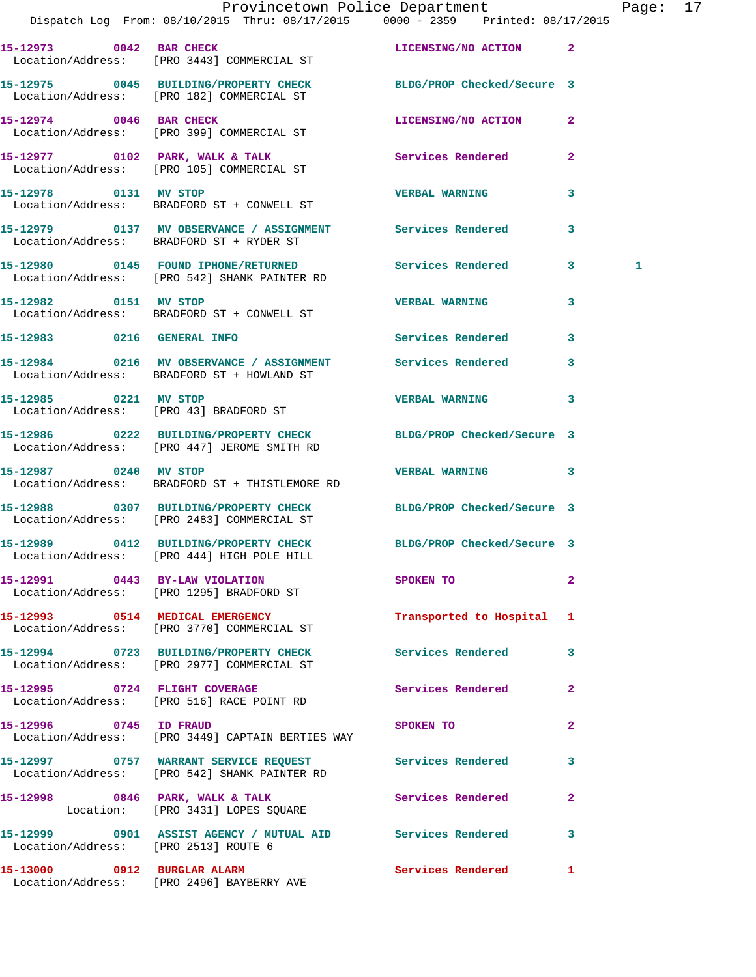|                                      | Dispatch Log From: 08/10/2015 Thru: 08/17/2015 0000 - 2359 Printed: 08/17/2015                                 | Provincetown Police Department                                                  |                | Page: 17 |  |
|--------------------------------------|----------------------------------------------------------------------------------------------------------------|---------------------------------------------------------------------------------|----------------|----------|--|
|                                      | 15-12973 0042 BAR CHECK<br>Location/Address: [PRO 3443] COMMERCIAL ST                                          | LICENSING/NO ACTION 2                                                           |                |          |  |
|                                      | 15-12975 0045 BUILDING/PROPERTY CHECK BLDG/PROP Checked/Secure 3<br>Location/Address: [PRO 182] COMMERCIAL ST  |                                                                                 |                |          |  |
|                                      | 15-12974 0046 BAR CHECK<br>Location/Address: [PRO 399] COMMERCIAL ST                                           | LICENSING/NO ACTION                                                             | $\mathbf{2}$   |          |  |
|                                      | 15-12977 0102 PARK, WALK & TALK<br>Location/Address: [PRO 105] COMMERCIAL ST                                   | Services Rendered                                                               | $\mathbf{2}$   |          |  |
|                                      | 15-12978 0131 MV STOP<br>Location/Address: BRADFORD ST + CONWELL ST                                            | <b>VERBAL WARNING</b>                                                           | 3              |          |  |
|                                      | 15-12979 0137 MV OBSERVANCE / ASSIGNMENT Services Rendered<br>Location/Address: BRADFORD ST + RYDER ST         |                                                                                 | 3              |          |  |
|                                      | 15-12980 0145 FOUND IPHONE/RETURNED<br>Location/Address: [PRO 542] SHANK PAINTER RD                            | Services Rendered 3                                                             |                | 1        |  |
| 15-12982 0151 MV STOP                | Location/Address: BRADFORD ST + CONWELL ST                                                                     | <b>VERBAL WARNING</b>                                                           | 3              |          |  |
| 15-12983 0216 GENERAL INFO           |                                                                                                                | <b>Services Rendered</b>                                                        | $\mathbf{3}$   |          |  |
|                                      | 15-12984 0216 MV OBSERVANCE / ASSIGNMENT Services Rendered<br>Location/Address: BRADFORD ST + HOWLAND ST       |                                                                                 | 3              |          |  |
| 15-12985 0221 MV STOP                | Location/Address: [PRO 43] BRADFORD ST                                                                         | <b>VERBAL WARNING</b>                                                           | 3              |          |  |
|                                      | 15-12986 0222 BUILDING/PROPERTY CHECK<br>Location/Address: [PRO 447] JEROME SMITH RD                           | BLDG/PROP Checked/Secure 3                                                      |                |          |  |
|                                      | 15-12987 0240 MV STOP<br>Location/Address: BRADFORD ST + THISTLEMORE RD                                        | VERBAL WARNING 3                                                                |                |          |  |
|                                      | 15-12988 0307 BUILDING/PROPERTY CHECK BLDG/PROP Checked/Secure 3<br>Location/Address: [PRO 2483] COMMERCIAL ST |                                                                                 |                |          |  |
|                                      | 15-12989 0412 BUILDING/PROPERTY CHECK BLDG/PROP Checked/Secure 3<br>Location/Address: [PRO 444] HIGH POLE HILL |                                                                                 |                |          |  |
|                                      | 15-12991 0443 BY-LAW VIOLATION<br>Location/Address: [PRO 1295] BRADFORD ST                                     | SPOKEN TO AND TO A REAL PROPERTY OF A REAL PROPERTY OF A REAL PROPERTY.         | $\mathbf{2}$   |          |  |
|                                      | 15-12993 0514 MEDICAL EMERGENCY<br>Location/Address: [PRO 3770] COMMERCIAL ST                                  | Transported to Hospital 1                                                       |                |          |  |
|                                      | 15-12994 0723 BUILDING/PROPERTY CHECK Services Rendered 3<br>Location/Address: [PRO 2977] COMMERCIAL ST        |                                                                                 |                |          |  |
|                                      | 15-12995 0724 FLIGHT COVERAGE<br>Location/Address: [PRO 516] RACE POINT RD                                     | Services Rendered 2                                                             |                |          |  |
| 15-12996 0745 ID FRAUD               | Location/Address: [PRO 3449] CAPTAIN BERTIES WAY                                                               | SPOKEN TO AND TO A STRUCK TO A THING OF THE STRUCK OF THE STRUCK OF THE STRUCK. | $\mathbf{2}$   |          |  |
|                                      | 15-12997 0757 WARRANT SERVICE REQUEST Services Rendered 3<br>Location/Address: [PRO 542] SHANK PAINTER RD      |                                                                                 |                |          |  |
|                                      | 15-12998 0846 PARK, WALK & TALK 3 Services Rendered<br>Location: [PRO 3431] LOPES SQUARE                       |                                                                                 | $\overline{2}$ |          |  |
| Location/Address: [PRO 2513] ROUTE 6 | 15-12999 0901 ASSIST AGENCY / MUTUAL AID Services Rendered 3                                                   |                                                                                 |                |          |  |
|                                      | 15-13000 0912 BURGLAR ALARM<br>Location/Address: [PRO 2496] BAYBERRY AVE                                       | Services Rendered 1                                                             |                |          |  |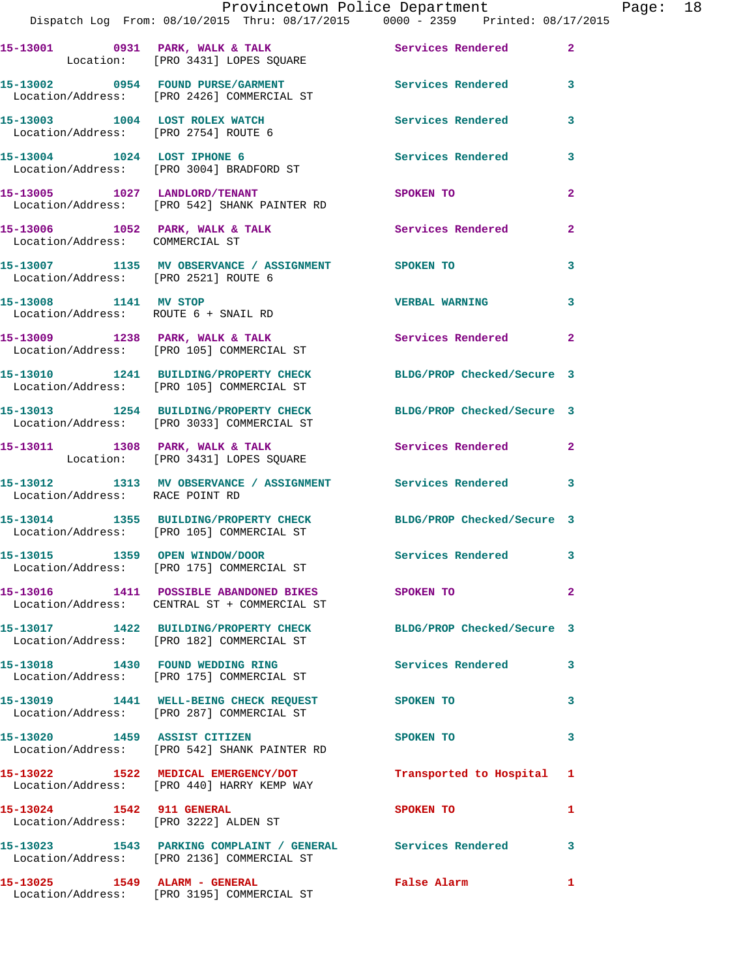|                                                                        | Provincetown Police Department                                                                                 |                            |                |
|------------------------------------------------------------------------|----------------------------------------------------------------------------------------------------------------|----------------------------|----------------|
|                                                                        | Dispatch Log From: 08/10/2015 Thru: 08/17/2015 0000 - 2359 Printed: 08/17/2015                                 |                            |                |
|                                                                        | 15-13001 0931 PARK, WALK & TALK Services Rendered<br>Location: [PRO 3431] LOPES SQUARE                         |                            | $\mathbf{2}$   |
|                                                                        | 15-13002 0954 FOUND PURSE/GARMENT Services Rendered<br>Location/Address: [PRO 2426] COMMERCIAL ST              |                            | 3              |
| 15-13003 1004 LOST ROLEX WATCH<br>Location/Address: [PRO 2754] ROUTE 6 |                                                                                                                | <b>Services Rendered</b>   | 3              |
|                                                                        | 15-13004 1024 LOST IPHONE 6<br>Location/Address: [PRO 3004] BRADFORD ST                                        | Services Rendered          | 3              |
|                                                                        | 15-13005 1027 LANDLORD/TENANT<br>Location/Address: [PRO 542] SHANK PAINTER RD                                  | <b>SPOKEN TO</b>           | $\overline{a}$ |
| Location/Address: COMMERCIAL ST                                        | 15-13006 1052 PARK, WALK & TALK 1988 Services Rendered                                                         |                            | $\overline{a}$ |
| Location/Address: [PRO 2521] ROUTE 6                                   | 15-13007 1135 MV OBSERVANCE / ASSIGNMENT SPOKEN TO                                                             |                            | 3              |
| 15-13008 1141 MV STOP<br>Location/Address: ROUTE 6 + SNAIL RD          |                                                                                                                | <b>VERBAL WARNING</b>      | 3              |
|                                                                        | 15-13009 1238 PARK, WALK & TALK<br>Location/Address: [PRO 105] COMMERCIAL ST                                   | Services Rendered 2        |                |
|                                                                        | 15-13010 1241 BUILDING/PROPERTY CHECK BLDG/PROP Checked/Secure 3<br>Location/Address: [PRO 105] COMMERCIAL ST  |                            |                |
|                                                                        | 15-13013 1254 BUILDING/PROPERTY CHECK BLDG/PROP Checked/Secure 3<br>Location/Address: [PRO 3033] COMMERCIAL ST |                            |                |
|                                                                        | 15-13011 1308 PARK, WALK & TALK<br>Location: [PRO 3431] LOPES SQUARE                                           | Services Rendered          | $\mathbf{2}$   |
| Location/Address: RACE POINT RD                                        | 15-13012 1313 MV OBSERVANCE / ASSIGNMENT Services Rendered 3                                                   |                            |                |
|                                                                        | 15-13014 1355 BUILDING/PROPERTY CHECK BLDG/PROP Checked/Secure 3<br>Location/Address: [PRO 105] COMMERCIAL ST  |                            |                |
|                                                                        | 15-13015 1359 OPEN WINDOW/DOOR<br>Location/Address: [PRO 175] COMMERCIAL ST                                    | Services Rendered 3        |                |
|                                                                        | 15-13016 1411 POSSIBLE ABANDONED BIKES SPOKEN TO<br>Location/Address: CENTRAL ST + COMMERCIAL ST               |                            | $\overline{2}$ |
|                                                                        | 15-13017 1422 BUILDING/PROPERTY CHECK<br>Location/Address: [PRO 182] COMMERCIAL ST                             | BLDG/PROP Checked/Secure 3 |                |
|                                                                        | 15-13018 1430 FOUND WEDDING RING<br>Location/Address: [PRO 175] COMMERCIAL ST                                  | Services Rendered          | 3              |
|                                                                        | 15-13019 1441 WELL-BEING CHECK REQUEST SPOKEN TO<br>Location/Address: [PRO 287] COMMERCIAL ST                  |                            | 3              |
|                                                                        | 15-13020 1459 ASSIST CITIZEN<br>Location/Address: [PRO 542] SHANK PAINTER RD                                   | SPOKEN TO                  | 3              |
|                                                                        | 15-13022 1522 MEDICAL EMERGENCY/DOT<br>Location/Address: [PRO 440] HARRY KEMP WAY                              | Transported to Hospital    | 1              |
| 15-13024 1542 911 GENERAL<br>Location/Address: [PRO 3222] ALDEN ST     |                                                                                                                | SPOKEN TO                  | 1              |
|                                                                        | 15-13023 1543 PARKING COMPLAINT / GENERAL Services Rendered<br>Location/Address: [PRO 2136] COMMERCIAL ST      |                            | 3              |
|                                                                        |                                                                                                                | False Alarm 1              |                |

Location/Address: [PRO 3195] COMMERCIAL ST

Page: 18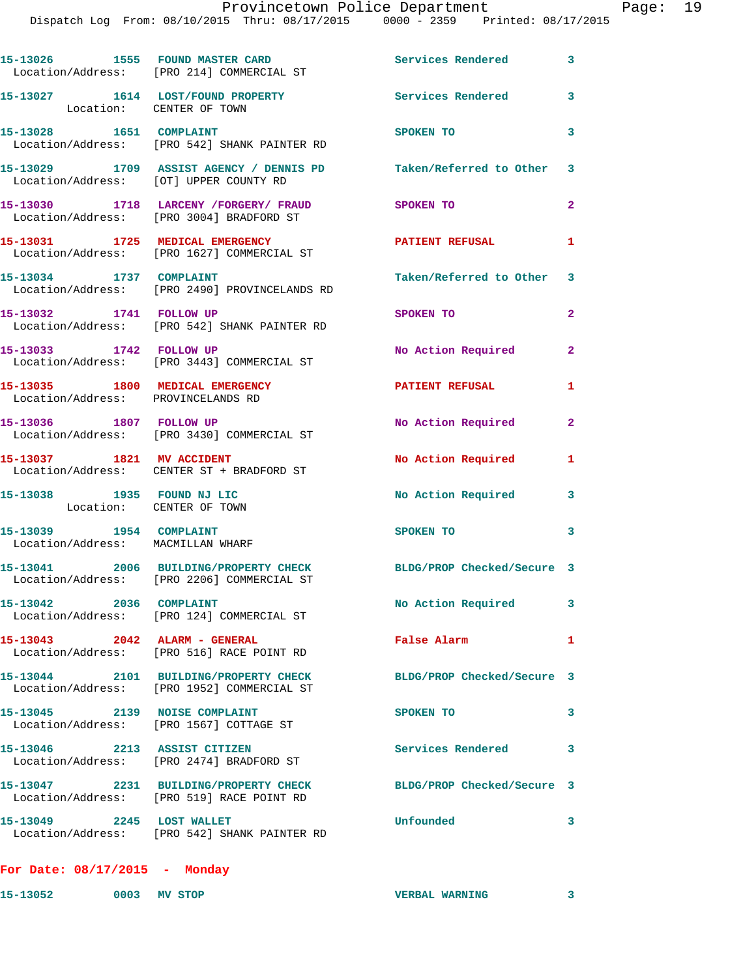Dispatch Log From: 08/10/2015 Thru: 08/17/2015 0000 - 2359 Printed: 08/17/2015

|                                                                       | 15-13026 1555 FOUND MASTER CARD<br>Location/Address: [PRO 214] COMMERCIAL ST                                   | Services Rendered 3       |                |
|-----------------------------------------------------------------------|----------------------------------------------------------------------------------------------------------------|---------------------------|----------------|
| Location: CENTER OF TOWN                                              | 15-13027 1614 LOST/FOUND PROPERTY                                                                              | Services Rendered 3       |                |
|                                                                       | 15-13028 1651 COMPLAINT<br>Location/Address: [PRO 542] SHANK PAINTER RD                                        | SPOKEN TO                 | 3              |
| Location/Address: [OT] UPPER COUNTY RD                                | 15-13029 1709 ASSIST AGENCY / DENNIS PD Taken/Referred to Other 3                                              |                           |                |
|                                                                       | 15-13030 1718 LARCENY / FORGERY / FRAUD<br>Location/Address: [PRO 3004] BRADFORD ST                            | SPOKEN TO                 | $\overline{2}$ |
|                                                                       | 15-13031 1725 MEDICAL EMERGENCY<br>Location/Address: [PRO 1627] COMMERCIAL ST                                  | <b>PATIENT REFUSAL</b>    | 1              |
| 15-13034 1737 COMPLAINT                                               | Location/Address: [PRO 2490] PROVINCELANDS RD                                                                  | Taken/Referred to Other 3 |                |
| 15-13032 1741 FOLLOW UP                                               | Location/Address: [PRO 542] SHANK PAINTER RD                                                                   | SPOKEN TO                 | $\mathbf{2}$   |
| 15-13033 1742 FOLLOW UP                                               | Location/Address: [PRO 3443] COMMERCIAL ST                                                                     | No Action Required        | $\mathbf{2}$   |
| 15-13035 1800 MEDICAL EMERGENCY<br>Location/Address: PROVINCELANDS RD |                                                                                                                | <b>PATIENT REFUSAL</b>    | 1              |
| 15-13036 1807 FOLLOW UP                                               | Location/Address: [PRO 3430] COMMERCIAL ST                                                                     | No Action Required        | $\mathbf{2}$   |
|                                                                       | 15-13037 1821 MV ACCIDENT<br>Location/Address: CENTER ST + BRADFORD ST                                         | No Action Required        | 1              |
| 15-13038 1935 FOUND NJ LIC<br>Location: CENTER OF TOWN                |                                                                                                                | No Action Required        | 3              |
| 15-13039 1954 COMPLAINT<br>Location/Address: MACMILLAN WHARF          |                                                                                                                | SPOKEN TO                 | 3              |
|                                                                       | 15-13041 2006 BUILDING/PROPERTY CHECK BLDG/PROP Checked/Secure 3<br>Location/Address: [PRO 2206] COMMERCIAL ST |                           |                |
| 15-13042 2036 COMPLAINT                                               | Location/Address: [PRO 124] COMMERCIAL ST                                                                      | No Action Required 3      |                |
| 15-13043 2042 ALARM - GENERAL                                         | Location/Address: [PRO 516] RACE POINT RD                                                                      | False Alarm               | 1              |
|                                                                       | 15-13044 2101 BUILDING/PROPERTY CHECK BLDG/PROP Checked/Secure 3<br>Location/Address: [PRO 1952] COMMERCIAL ST |                           |                |
| 15-13045 2139 NOISE COMPLAINT                                         | Location/Address: [PRO 1567] COTTAGE ST                                                                        | SPOKEN TO                 | 3              |
|                                                                       | 15-13046 2213 ASSIST CITIZEN<br>Location/Address: [PRO 2474] BRADFORD ST                                       | Services Rendered         | 3              |
|                                                                       | 15-13047 2231 BUILDING/PROPERTY CHECK BLDG/PROP Checked/Secure 3                                               |                           |                |
|                                                                       | Location/Address: [PRO 519] RACE POINT RD                                                                      |                           |                |

**15-13052 0003 MV STOP VERBAL WARNING 3**